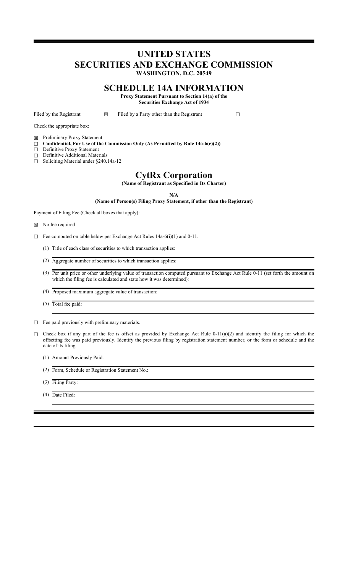## **UNITED STATES SECURITIES AND EXCHANGE COMMISSION WASHINGTON, D.C. 20549**

## **SCHEDULE 14A INFORMATION**

**Proxy Statement Pursuant to Section 14(a) of the Securities Exchange Act of 1934**

Filed by the Registrant  $□ \square$  Filed by a Party other than the Registrant  $□$ 

Check the appropriate box:

☒ Preliminary Proxy Statement

☐ **Confidential, For Use of the Commission Only (As Permitted by Rule 14a-6(e)(2))**

- ☐ Definitive Proxy Statement
- ☐ Definitive Additional Materials
- ☐ Soliciting Material under §240.14a-12

## **CytRx Corporation**

**(Name of Registrant as Specified in Its Charter)**

#### **N/A**

**(Name of Person(s) Filing Proxy Statement, if other than the Registrant)**

Payment of Filing Fee (Check all boxes that apply):

☒ No fee required

- ☐ Fee computed on table below per Exchange Act Rules 14a-6(i)(1) and 0-11.
	- (1) Title of each class of securities to which transaction applies:
	- (2) Aggregate number of securities to which transaction applies:
	- (3) Per unit price or other underlying value of transaction computed pursuant to Exchange Act Rule 0-11 (set forth the amount on which the filing fee is calculated and state how it was determined):
	- (4) Proposed maximum aggregate value of transaction:
	- (5) Total fee paid:

☐ Fee paid previously with preliminary materials.

- $\Box$  Check box if any part of the fee is offset as provided by Exchange Act Rule 0-11(a)(2) and identify the filing for which the offsetting fee was paid previously. Identify the previous filing by registration statement number, or the form or schedule and the date of its filing.
	- (1) Amount Previously Paid:
	- (2) Form, Schedule or Registration Statement No.:
	- (3) Filing Party:
	- (4) Date Filed: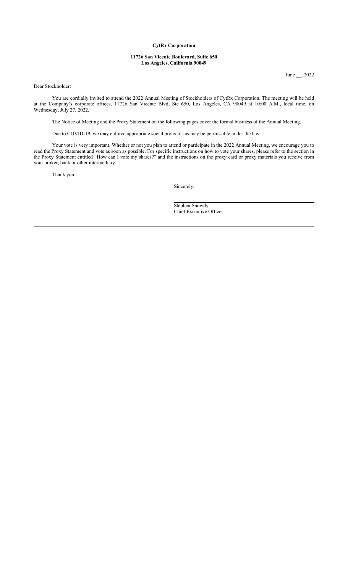## **CytRx Corporation**

#### **11726 San Vicente Boulevard, Suite 650 Los Angeles, California 90049**

June \_\_, 2022

Dear Stockholder:

You are cordially invited to attend the 2022 Annual Meeting of Stockholders of CytRx Corporation. The meeting will be held at the Company's corporate offices, 11726 San Vicente Blvd, Ste 650, Los Angeles, CA 90049 at 10:00 A.M., local time, on Wednesday, July 27, 2022.

The Notice of Meeting and the Proxy Statement on the following pages cover the formal business of the Annual Meeting.

Due to COVID-19, we may enforce appropriate social protocols as may be permissible under the law.

Your vote is very important. Whether or not you plan to attend or participate in the 2022 Annual Meeting, we encourage you to read the Proxy Statement and vote as soon as possible. For specific instructions on how to vote your shares, please refer to the section in the Proxy Statement entitled "How can I vote my shares?" and the instructions on the proxy card or proxy materials you receive from your broker, bank or other intermediary.

Thank you.

Sincerely,

Stephen Snowdy Chief Executive Officer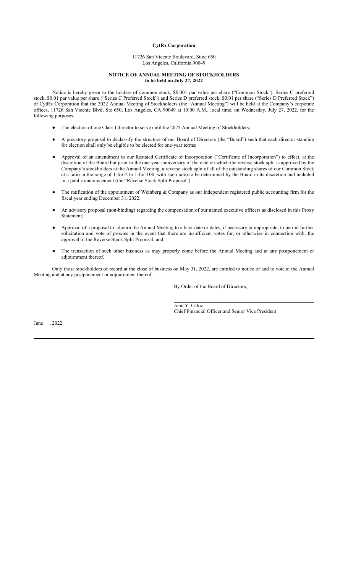## **CytRx Corporation**

#### 11726 San Vicente Boulevard, Suite 650 Los Angeles, California 90049

#### **NOTICE OF ANNUAL MEETING OF STOCKHOLDERS to be held on July 27, 2022**

Notice is hereby given to the holders of common stock, \$0.001 par value per share ("Common Stock"), Series C preferred stock, \$0.01 par value per share ("Series C Preferred Stock") and Series D preferred stock, \$0.01 per share ("Series D Preferred Stock") of CytRx Corporation that the 2022 Annual Meeting of Stockholders (the "Annual Meeting") will be held at the Company's corporate offices, 11726 San Vicente Blvd, Ste 650, Los Angeles, CA 90049 at 10:00 A.M., local time, on Wednesday, July 27, 2022, for the following purposes:

- The election of one Class I director to serve until the 2025 Annual Meeting of Stockholders;
- A precatory proposal to declassify the structure of our Board of Directors (the "Board") such that each director standing for election shall only be eligible to be elected for one-year terms;
- Approval of an amendment to our Restated Certificate of Incorporation ("Certificate of Incorporation") to effect, at the discretion of the Board but prior to the one-year anniversary of the date on which the reverse stock split is approved by the Company's stockholders at the Annual Meeting, a reverse stock split of all of the outstanding shares of our Common Stock at a ratio in the range of 1-for-2 to 1-for-100, with such ratio to be determined by the Board in its discretion and included in a public announcement (the "Reverse Stock Split Proposal")
- The ratification of the appointment of Weinberg & Company as our independent registered public accounting firm for the fiscal year ending December 31, 2022;
- An advisory proposal (non-binding) regarding the compensation of our named executive officers as disclosed in this Proxy Statement;
- Approval of a proposal to adjourn the Annual Meeting to a later date or dates, if necessary or appropriate, to permit further solicitation and vote of proxies in the event that there are insufficient votes for, or otherwise in connection with, the approval of the Reverse Stock Split Proposal; and
- The transaction of such other business as may properly come before the Annual Meeting and at any postponement or adjournment thereof.

Only those stockholders of record at the close of business on May 31, 2022, are entitled to notice of and to vote at the Annual Meeting and at any postponement or adjournment thereof.

By Order of the Board of Directors,

John Y. Caloz Chief Financial Officer and Senior Vice President

June , 2022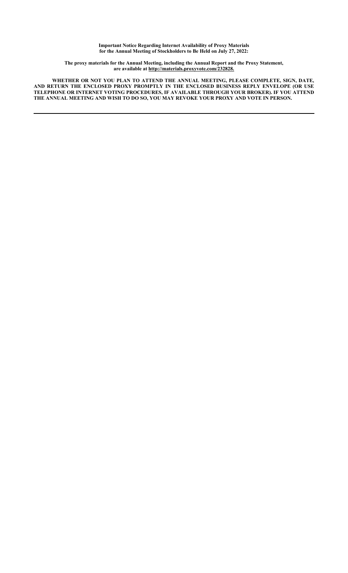**Important Notice Regarding Internet Availability of Proxy Materials for the Annual Meeting of Stockholders to Be Held on July 27, 2022:**

**The proxy materials for the Annual Meeting, including the Annual Report and the Proxy Statement, are available at http://materials.proxyvote.com/232828.** 

**WHETHER OR NOT YOU PLAN TO ATTEND THE ANNUAL MEETING, PLEASE COMPLETE, SIGN, DATE, AND RETURN THE ENCLOSED PROXY PROMPTLY IN THE ENCLOSED BUSINESS REPLY ENVELOPE (OR USE TELEPHONE OR INTERNET VOTING PROCEDURES, IF AVAILABLE THROUGH YOUR BROKER). IF YOU ATTEND THE ANNUAL MEETING AND WISH TO DO SO, YOU MAY REVOKE YOUR PROXY AND VOTE IN PERSON.**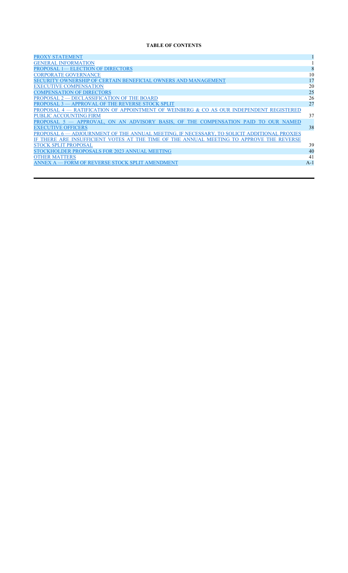## **TABLE OF CONTENTS**

| <b>PROXY STATEMENT</b>                                                                       |       |
|----------------------------------------------------------------------------------------------|-------|
| <b>GENERAL INFORMATION</b>                                                                   |       |
| <b>PROPOSAL 1— ELECTION OF DIRECTORS</b>                                                     | 8     |
| <b>CORPORATE GOVERNANCE</b>                                                                  | 10    |
| SECURITY OWNERSHIP OF CERTAIN BENEFICIAL OWNERS AND MANAGEMENT                               | 17    |
| <b>EXECUTIVE COMPENSATION</b>                                                                | 20    |
| <b>COMPENSATION OF DIRECTORS</b>                                                             | 25    |
| PROPOSAL 2 — DECLASSIFICATION OF THE BOARD                                                   | 26    |
| PROPOSAL 3 - APPROVAL OF THE REVERSE STOCK SPLIT                                             | 27    |
| PROPOSAL 4 – RATIFICATION OF APPOINTMENT OF WEINBERG & CO AS OUR INDEPENDENT REGISTERED      |       |
| <b>PUBLIC ACCOUNTING FIRM</b>                                                                | 37    |
| PROPOSAL 5 - APPROVAL, ON AN ADVISORY BASIS, OF THE COMPENSATION PAID TO<br><b>OUR NAMED</b> |       |
| <b>EXECUTIVE OFFICERS</b>                                                                    | 38    |
| PROPOSAL 6— ADJOURNMENT OF THE ANNUAL MEETING, IF NECESSARY, TO SOLICIT ADDITIONAL PROXIES   |       |
| IF THERE ARE INSUFFICIENT VOTES AT THE TIME OF THE ANNUAL MEETING TO APPROVE THE REVERSE     |       |
| <b>STOCK SPLIT PROPOSAL</b>                                                                  | 39    |
| STOCKHOLDER PROPOSALS FOR 2023 ANNUAL MEETING                                                | 40    |
| <b>OTHER MATTERS</b>                                                                         | 41    |
| ANNEX A — FORM OF REVERSE STOCK SPLIT AMENDMENT                                              | $A-1$ |
|                                                                                              |       |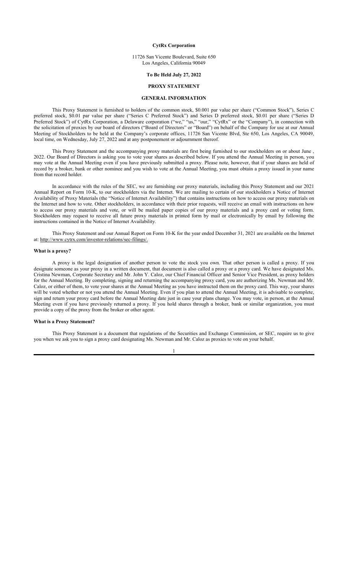#### **CytRx Corporation**

#### 11726 San Vicente Boulevard, Suite 650 Los Angeles, California 90049

#### **To Be Held July 27, 2022**

## **PROXY STATEMENT**

## **GENERAL INFORMATION**

This Proxy Statement is furnished to holders of the common stock, \$0.001 par value per share ("Common Stock"), Series C preferred stock, \$0.01 par value per share ("Series C Preferred Stock") and Series D preferred stock, \$0.01 per share ("Series D Preferred Stock") of CytRx Corporation, a Delaware corporation ("we," "us," "our," "CytRx" or the "Company"), in connection with the solicitation of proxies by our board of directors ("Board of Directors" or "Board") on behalf of the Company for use at our Annual Meeting of Stockholders to be held at the Company's corporate offices, 11726 San Vicente Blvd, Ste 650, Los Angeles, CA 90049, local time, on Wednesday, July 27, 2022 and at any postponement or adjournment thereof.

This Proxy Statement and the accompanying proxy materials are first being furnished to our stockholders on or about June , 2022. Our Board of Directors is asking you to vote your shares as described below. If you attend the Annual Meeting in person, you may vote at the Annual Meeting even if you have previously submitted a proxy. Please note, however, that if your shares are held of record by a broker, bank or other nominee and you wish to vote at the Annual Meeting, you must obtain a proxy issued in your name from that record holder.

In accordance with the rules of the SEC, we are furnishing our proxy materials, including this Proxy Statement and our 2021 Annual Report on Form 10-K, to our stockholders via the Internet. We are mailing to certain of our stockholders a Notice of Internet Availability of Proxy Materials (the "Notice of Internet Availability") that contains instructions on how to access our proxy materials on the Internet and how to vote. Other stockholders, in accordance with their prior requests, will receive an email with instructions on how to access our proxy materials and vote, or will be mailed paper copies of our proxy materials and a proxy card or voting form. Stockholders may request to receive all future proxy materials in printed form by mail or electronically by email by following the instructions contained in the Notice of Internet Availability.

This Proxy Statement and our Annual Report on Form 10-K for the year ended December 31, 2021 are available on the Internet at: http://www.cytrx.com/investor-relations/sec-filings/.

#### **What is a proxy?**

A proxy is the legal designation of another person to vote the stock you own. That other person is called a proxy. If you designate someone as your proxy in a written document, that document is also called a proxy or a proxy card. We have designated Ms. Cristina Newman, Corporate Secretary and Mr. John Y. Caloz, our Chief Financial Officer and Senior Vice President, as proxy holders for the Annual Meeting. By completing, signing and returning the accompanying proxy card, you are authorizing Ms. Newman and Mr. Caloz, or either of them, to vote your shares at the Annual Meeting as you have instructed them on the proxy card. This way, your shares will be voted whether or not you attend the Annual Meeting. Even if you plan to attend the Annual Meeting, it is advisable to complete, sign and return your proxy card before the Annual Meeting date just in case your plans change. You may vote, in person, at the Annual Meeting even if you have previously returned a proxy. If you hold shares through a broker, bank or similar organization, you must provide a copy of the proxy from the broker or other agent.

#### **What is a Proxy Statement?**

This Proxy Statement is a document that regulations of the Securities and Exchange Commission, or SEC, require us to give you when we ask you to sign a proxy card designating Ms. Newman and Mr. Caloz as proxies to vote on your behalf.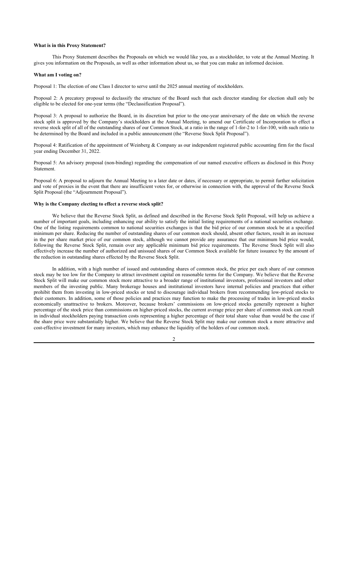#### **What is in this Proxy Statement?**

This Proxy Statement describes the Proposals on which we would like you, as a stockholder, to vote at the Annual Meeting. It gives you information on the Proposals, as well as other information about us, so that you can make an informed decision.

#### **What am I voting on?**

Proposal 1: The election of one Class I director to serve until the 2025 annual meeting of stockholders.

Proposal 2: A precatory proposal to declassify the structure of the Board such that each director standing for election shall only be eligible to be elected for one-year terms (the "Declassification Proposal").

Proposal 3: A proposal to authorize the Board, in its discretion but prior to the one-year anniversary of the date on which the reverse stock split is approved by the Company's stockholders at the Annual Meeting, to amend our Certificate of Incorporation to effect a reverse stock split of all of the outstanding shares of our Common Stock, at a ratio in the range of 1-for-2 to 1-for-100, with such ratio to be determined by the Board and included in a public announcement (the "Reverse Stock Split Proposal").

Proposal 4: Ratification of the appointment of Weinberg & Company as our independent registered public accounting firm for the fiscal year ending December 31, 2022.

Proposal 5: An advisory proposal (non-binding) regarding the compensation of our named executive officers as disclosed in this Proxy Statement.

Proposal 6: A proposal to adjourn the Annual Meeting to a later date or dates, if necessary or appropriate, to permit further solicitation and vote of proxies in the event that there are insufficient votes for, or otherwise in connection with, the approval of the Reverse Stock Split Proposal (the "Adjournment Proposal").

## **Why is the Company electing to effect a reverse stock split?**

We believe that the Reverse Stock Split, as defined and described in the Reverse Stock Split Proposal, will help us achieve a number of important goals, including enhancing our ability to satisfy the initial listing requirements of a national securities exchange. One of the listing requirements common to national securities exchanges is that the bid price of our common stock be at a specified minimum per share. Reducing the number of outstanding shares of our common stock should, absent other factors, result in an increase in the per share market price of our common stock, although we cannot provide any assurance that our minimum bid price would, following the Reverse Stock Split, remain over any applicable minimum bid price requirements. The Reverse Stock Split will also effectively increase the number of authorized and unissued shares of our Common Stock available for future issuance by the amount of the reduction in outstanding shares effected by the Reverse Stock Split.

In addition, with a high number of issued and outstanding shares of common stock, the price per each share of our common stock may be too low for the Company to attract investment capital on reasonable terms for the Company. We believe that the Reverse Stock Split will make our common stock more attractive to a broader range of institutional investors, professional investors and other members of the investing public. Many brokerage houses and institutional investors have internal policies and practices that either prohibit them from investing in low-priced stocks or tend to discourage individual brokers from recommending low-priced stocks to their customers. In addition, some of those policies and practices may function to make the processing of trades in low-priced stocks economically unattractive to brokers. Moreover, because brokers' commissions on low-priced stocks generally represent a higher percentage of the stock price than commissions on higher-priced stocks, the current average price per share of common stock can result in individual stockholders paying transaction costs representing a higher percentage of their total share value than would be the case if the share price were substantially higher. We believe that the Reverse Stock Split may make our common stock a more attractive and cost-effective investment for many investors, which may enhance the liquidity of the holders of our common stock.

 $\mathcal{L}$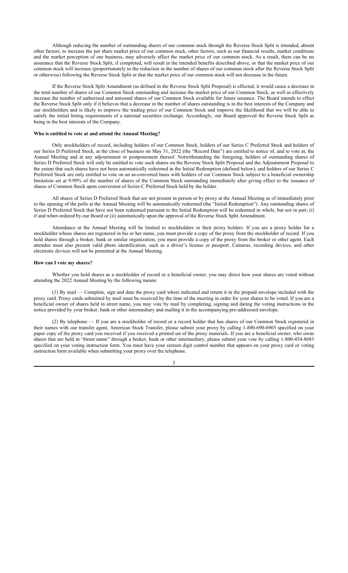Although reducing the number of outstanding shares of our common stock through the Reverse Stock Split is intended, absent other factors, to increase the per share market price of our common stock, other factors, such as our financial results, market conditions and the market perception of our business, may adversely affect the market price of our common stock. As a result, there can be no assurance that the Reverse Stock Split, if completed, will result in the intended benefits described above, or that the market price of our common stock will increase (proportionately to the reduction in the number of shares of our common stock after the Reverse Stock Split or otherwise) following the Reverse Stock Split or that the market price of our common stock will not decrease in the future.

If the Reverse Stock Split Amendment (as defined in the Reverse Stock Split Proposal) is effected, it would cause a decrease in the total number of shares of our Common Stock outstanding and increase the market price of our Common Stock, as well as effectively increase the number of authorized and unissued shares of our Common Stock available for future issuance. The Board intends to effect the Reverse Stock Split only if it believes that a decrease in the number of shares outstanding is in the best interests of the Company and our stockholders and is likely to improve the trading price of our Common Stock and improve the likelihood that we will be able to satisfy the initial listing requirements of a national securities exchange. Accordingly, our Board approved the Reverse Stock Split as being in the best interests of the Company.

## **Who is entitled to vote at and attend the Annual Meeting?**

Only stockholders of record, including holders of our Common Stock, holders of our Series C Preferred Stock and holders of our Series D Preferred Stock, at the close of business on May 31, 2022 (the "Record Date") are entitled to notice of, and to vote at, the Annual Meeting and at any adjournment or postponement thereof. Notwithstanding the foregoing, holders of outstanding shares of Series D Preferred Stock will only be entitled to vote such shares on the Reverse Stock Split Proposal and the Adjournment Proposal to the extent that such shares have not been automatically redeemed in the Initial Redemption (defined below); and holders of our Series C Preferred Stock are only entitled to vote on an as-converted basis with holders of our Common Stock subject to a beneficial ownership limitation set at 9.99% of the number of shares of the Common Stock outstanding immediately after giving effect to the issuance of shares of Common Stock upon conversion of Series C Preferred Stock held by the holder.

All shares of Series D Preferred Stock that are not present in person or by proxy at the Annual Meeting as of immediately prior to the opening of the polls at the Annual Meeting will be automatically redeemed (the "Initial Redemption"). Any outstanding shares of Series D Preferred Stock that have not been redeemed pursuant to the Initial Redemption will be redeemed in whole, but not in part, (i) if and when ordered by our Board or (ii) automatically upon the approval of the Reverse Stock Split Amendment.

Attendance at the Annual Meeting will be limited to stockholders or their proxy holders. If you are a proxy holder for a stockholder whose shares are registered in his or her name, you must provide a copy of the proxy from the stockholder of record. If you hold shares through a broker, bank or similar organization, you must provide a copy of the proxy from the broker or other agent. Each attendee must also present valid photo identification, such as a driver's license or passport. Cameras, recording devices, and other electronic devices will not be permitted at the Annual Meeting.

#### **How can I vote my shares?**

Whether you hold shares as a stockholder of record or a beneficial owner, you may direct how your shares are voted without attending the 2022 Annual Meeting by the following means:

(1) By mail — Complete, sign and date the proxy card where indicated and return it in the prepaid envelope included with the proxy card. Proxy cards submitted by mail must be received by the time of the meeting in order for your shares to be voted. If you are a beneficial owner of shares held in street name, you may vote by mail by completing, signing and dating the voting instructions in the notice provided by your broker, bank or other intermediary and mailing it in the accompanying pre-addressed envelope.

(2) By telephone — If you are a stockholder of record or a record holder that has shares of our Common Stock registered in their names with our transfer agent, American Stock Transfer, please submit your proxy by calling 1-800-690-6903 specified on your paper copy of the proxy card you received if you received a printed set of the proxy materials. If you are a beneficial owner, who owns shares that are held in 'Street name" through a broker, bank or other intermediary, please submit your vote by calling 1-800-454-8683 specified on your voting instruction form. You must have your sixteen digit control number that appears on your proxy card or voting instruction form available when submitting your proxy over the telephone.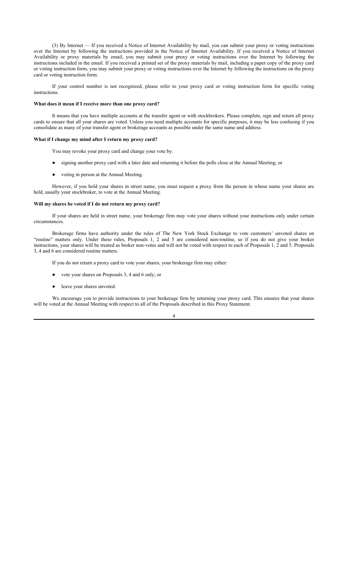(3) By Internet — If you received a Notice of Internet Availability by mail, you can submit your proxy or voting instructions over the Internet by following the instructions provided in the Notice of Internet Availability. If you received a Notice of Internet Availability or proxy materials by email, you may submit your proxy or voting instructions over the Internet by following the instructions included in the email. If you received a printed set of the proxy materials by mail, including a paper copy of the proxy card or voting instruction form, you may submit your proxy or voting instructions over the Internet by following the instructions on the proxy card or voting instruction form.

If your control number is not recognized, please refer to your proxy card or voting instruction form for specific voting instructions.

#### **What does it mean if I receive more than one proxy card?**

It means that you have multiple accounts at the transfer agent or with stockbrokers. Please complete, sign and return all proxy cards to ensure that all your shares are voted. Unless you need multiple accounts for specific purposes, it may be less confusing if you consolidate as many of your transfer agent or brokerage accounts as possible under the same name and address.

#### **What if I change my mind after I return my proxy card?**

You may revoke your proxy card and change your vote by:

- signing another proxy card with a later date and returning it before the polls close at the Annual Meeting; or
- voting in person at the Annual Meeting.

However, if you hold your shares in street name, you must request a proxy from the person in whose name your shares are held, usually your stockbroker, to vote at the Annual Meeting.

## **Will my shares be voted if I do not return my proxy card?**

If your shares are held in street name, your brokerage firm may vote your shares without your instructions only under certain circumstances.

Brokerage firms have authority under the rules of The New York Stock Exchange to vote customers' unvoted shares on "routine" matters only. Under these rules, Proposals 1, 2 and 5 are considered non-routine, so if you do not give your broker instructions, your shares will be treated as broker non-votes and will not be voted with respect to each of Proposals 1, 2 and 5. Proposals 3, 4 and 6 are considered routine matters.

If you do not return a proxy card to vote your shares, your brokerage firm may either:

- vote your shares on Proposals 3, 4 and 6 only; or
- leave your shares unvoted.

We encourage you to provide instructions to your brokerage firm by returning your proxy card. This ensures that your shares will be voted at the Annual Meeting with respect to all of the Proposals described in this Proxy Statement.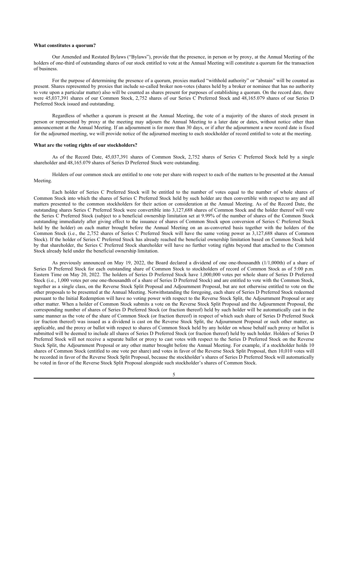#### **What constitutes a quorum?**

Our Amended and Restated Bylaws ("Bylaws"), provide that the presence, in person or by proxy, at the Annual Meeting of the holders of one-third of outstanding shares of our stock entitled to vote at the Annual Meeting will constitute a quorum for the transaction of business.

For the purpose of determining the presence of a quorum, proxies marked "withhold authority" or "abstain" will be counted as present. Shares represented by proxies that include so-called broker non-votes (shares held by a broker or nominee that has no authority to vote upon a particular matter) also will be counted as shares present for purposes of establishing a quorum. On the record date, there were 45,037,391 shares of our Common Stock, 2,752 shares of our Series C Preferred Stock and 48,165.079 shares of our Series D Preferred Stock issued and outstanding.

Regardless of whether a quorum is present at the Annual Meeting, the vote of a majority of the shares of stock present in person or represented by proxy at the meeting may adjourn the Annual Meeting to a later date or dates, without notice other than announcement at the Annual Meeting. If an adjournment is for more than 30 days, or if after the adjournment a new record date is fixed for the adjourned meeting, we will provide notice of the adjourned meeting to each stockholder of record entitled to vote at the meeting.

#### **What are the voting rights of our stockholders?**

As of the Record Date, 45,037,391 shares of Common Stock, 2,752 shares of Series C Preferred Stock held by a single shareholder and 48,165.079 shares of Series D Preferred Stock were outstanding.

Holders of our common stock are entitled to one vote per share with respect to each of the matters to be presented at the Annual Meeting.

Each holder of Series C Preferred Stock will be entitled to the number of votes equal to the number of whole shares of Common Stock into which the shares of Series C Preferred Stock held by such holder are then convertible with respect to any and all matters presented to the common stockholders for their action or consideration at the Annual Meeting. As of the Record Date, the outstanding shares Series C Preferred Stock were convertible into 3,127,688 shares of Common Stock and the holder thereof will vote the Series C Preferred Stock (subject to a beneficial ownership limitation set at 9.99% of the number of shares of the Common Stock outstanding immediately after giving effect to the issuance of shares of Common Stock upon conversion of Series C Preferred Stock held by the holder) on each matter brought before the Annual Meeting on an as-converted basis together with the holders of the Common Stock (i.e., the 2,752 shares of Series C Preferred Stock will have the same voting power as 3,127,688 shares of Common Stock). If the holder of Series C Preferred Stock has already reached the beneficial ownership limitation based on Common Stock held by that shareholder, the Series C Preferred Stock shareholder will have no further voting rights beyond that attached to the Common Stock already held under the beneficial ownership limitation.

As previously announced on May 19, 2022, the Board declared a dividend of one one-thousandth (1/1,000th) of a share of Series D Preferred Stock for each outstanding share of Common Stock to stockholders of record of Common Stock as of 5:00 p.m. Eastern Time on May 20, 2022. The holders of Series D Preferred Stock have 1,000,000 votes per whole share of Series D Preferred Stock (i.e., 1,000 votes per one one-thousandth of a share of Series D Preferred Stock) and are entitled to vote with the Common Stock, together as a single class, on the Reverse Stock Split Proposal and Adjournment Proposal, but are not otherwise entitled to vote on the other proposals to be presented at the Annual Meeting. Notwithstanding the foregoing, each share of Series D Preferred Stock redeemed pursuant to the Initial Redemption will have no voting power with respect to the Reverse Stock Split, the Adjournment Proposal or any other matter. When a holder of Common Stock submits a vote on the Reverse Stock Split Proposal and the Adjournment Proposal, the corresponding number of shares of Series D Preferred Stock (or fraction thereof) held by such holder will be automatically cast in the same manner as the vote of the share of Common Stock (or fraction thereof) in respect of which such share of Series D Preferred Stock (or fraction thereof) was issued as a dividend is cast on the Reverse Stock Split, the Adjournment Proposal or such other matter, as applicable, and the proxy or ballot with respect to shares of Common Stock held by any holder on whose behalf such proxy or ballot is submitted will be deemed to include all shares of Series D Preferred Stock (or fraction thereof) held by such holder. Holders of Series D Preferred Stock will not receive a separate ballot or proxy to cast votes with respect to the Series D Preferred Stock on the Reverse Stock Split, the Adjournment Proposal or any other matter brought before the Annual Meeting. For example, if a stockholder holds 10 shares of Common Stock (entitled to one vote per share) and votes in favor of the Reverse Stock Split Proposal, then 10,010 votes will be recorded in favor of the Reverse Stock Split Proposal, because the stockholder's shares of Series D Preferred Stock will automatically be voted in favor of the Reverse Stock Split Proposal alongside such stockholder's shares of Common Stock.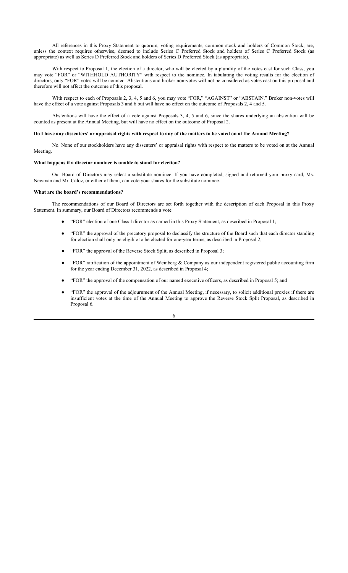All references in this Proxy Statement to quorum, voting requirements, common stock and holders of Common Stock, are, unless the context requires otherwise, deemed to include Series C Preferred Stock and holders of Series C Preferred Stock (as appropriate) as well as Series D Preferred Stock and holders of Series D Preferred Stock (as appropriate).

With respect to Proposal 1, the election of a director, who will be elected by a plurality of the votes cast for such Class, you may vote "FOR" or "WITHHOLD AUTHORITY" with respect to the nominee. In tabulating the voting results for the election of directors, only "FOR" votes will be counted. Abstentions and broker non-votes will not be considered as votes cast on this proposal and therefore will not affect the outcome of this proposal.

With respect to each of Proposals 2, 3, 4, 5 and 6, you may vote "FOR," "AGAINST" or "ABSTAIN." Broker non-votes will have the effect of a vote against Proposals 3 and 6 but will have no effect on the outcome of Proposals 2, 4 and 5.

Abstentions will have the effect of a vote against Proposals 3, 4, 5 and 6, since the shares underlying an abstention will be counted as present at the Annual Meeting, but will have no effect on the outcome of Proposal 2.

## **Do I have any dissenters' or appraisal rights with respect to any of the matters to be voted on at the Annual Meeting?**

No. None of our stockholders have any dissenters' or appraisal rights with respect to the matters to be voted on at the Annual Meeting.

#### **What happens if a director nominee is unable to stand for election?**

Our Board of Directors may select a substitute nominee. If you have completed, signed and returned your proxy card, Ms. Newman and Mr. Caloz, or either of them, can vote your shares for the substitute nominee.

#### **What are the board's recommendations?**

The recommendations of our Board of Directors are set forth together with the description of each Proposal in this Proxy Statement. In summary, our Board of Directors recommends a vote:

- "FOR" election of one Class I director as named in this Proxy Statement, as described in Proposal 1;
- "FOR" the approval of the precatory proposal to declassify the structure of the Board such that each director standing for election shall only be eligible to be elected for one-year terms, as described in Proposal 2;
- "FOR" the approval of the Reverse Stock Split, as described in Proposal 3;
- "FOR" ratification of the appointment of Weinberg & Company as our independent registered public accounting firm for the year ending December 31, 2022, as described in Proposal 4;
- "FOR" the approval of the compensation of our named executive officers, as described in Proposal 5; and
- "FOR" the approval of the adjournment of the Annual Meeting, if necessary, to solicit additional proxies if there are insufficient votes at the time of the Annual Meeting to approve the Reverse Stock Split Proposal, as described in Proposal 6.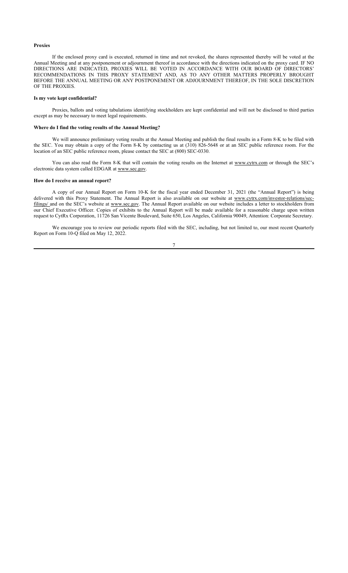#### **Proxies**

If the enclosed proxy card is executed, returned in time and not revoked, the shares represented thereby will be voted at the Annual Meeting and at any postponement or adjournment thereof in accordance with the directions indicated on the proxy card. IF NO DIRECTIONS ARE INDICATED, PROXIES WILL BE VOTED IN ACCORDANCE WITH OUR BOARD OF DIRECTORS' RECOMMENDATIONS IN THIS PROXY STATEMENT AND, AS TO ANY OTHER MATTERS PROPERLY BROUGHT BEFORE THE ANNUAL MEETING OR ANY POSTPONEMENT OR ADJOURNMENT THEREOF, IN THE SOLE DISCRETION OF THE PROXIES.

#### **Is my vote kept confidential?**

Proxies, ballots and voting tabulations identifying stockholders are kept confidential and will not be disclosed to third parties except as may be necessary to meet legal requirements.

#### **Where do I find the voting results of the Annual Meeting?**

We will announce preliminary voting results at the Annual Meeting and publish the final results in a Form 8-K to be filed with the SEC. You may obtain a copy of the Form 8-K by contacting us at (310) 826-5648 or at an SEC public reference room. For the location of an SEC public reference room, please contact the SEC at (800) SEC-0330.

You can also read the Form 8-K that will contain the voting results on the Internet at www.cytrx.com or through the SEC's electronic data system called EDGAR at www.sec.gov.

#### **How do I receive an annual report?**

A copy of our Annual Report on Form 10-K for the fiscal year ended December 31, 2021 (the "Annual Report") is being delivered with this Proxy Statement. The Annual Report is also available on our website at www.cytrx.com/investor-relations/secfilings/ and on the SEC's website at www.sec.gov. The Annual Report available on our website includes a letter to stockholders from our Chief Executive Officer. Copies of exhibits to the Annual Report will be made available for a reasonable charge upon written request to CytRx Corporation, 11726 San Vicente Boulevard, Suite 650, Los Angeles, California 90049, Attention: Corporate Secretary.

We encourage you to review our periodic reports filed with the SEC, including, but not limited to, our most recent Quarterly Report on Form 10-Q filed on May 12, 2022.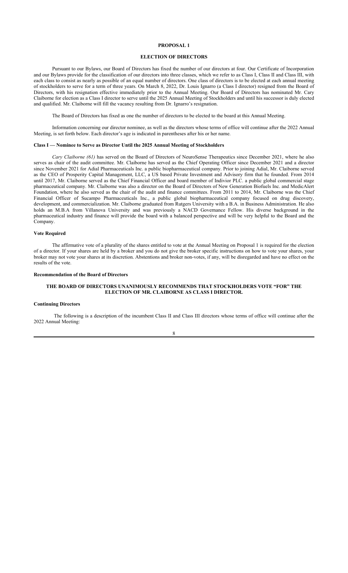#### **ELECTION OF DIRECTORS**

Pursuant to our Bylaws, our Board of Directors has fixed the number of our directors at four. Our Certificate of Incorporation and our Bylaws provide for the classification of our directors into three classes, which we refer to as Class I, Class II and Class III, with each class to consist as nearly as possible of an equal number of directors. One class of directors is to be elected at each annual meeting of stockholders to serve for a term of three years. On March 8, 2022, Dr. Louis Ignarro (a Class I director) resigned from the Board of Directors, with his resignation effective immediately prior to the Annual Meeting. Our Board of Directors has nominated Mr. Cary Claiborne for election as a Class I director to serve until the 2025 Annual Meeting of Stockholders and until his successor is duly elected and qualified. Mr. Claiborne will fill the vacancy resulting from Dr. Ignarro's resignation.

The Board of Directors has fixed as one the number of directors to be elected to the board at this Annual Meeting.

Information concerning our director nominee, as well as the directors whose terms of office will continue after the 2022 Annual Meeting, is set forth below. Each director's age is indicated in parentheses after his or her name.

#### **Class I — Nominee to Serve as Director Until the 2025 Annual Meeting of Stockholders**

*Cary Claiborne (61)* has served on the Board of Directors of NeuroSense Therapeutics since December 2021, where he also serves as chair of the audit committee. Mr. Claiborne has served as the Chief Operating Officer since December 2021 and a director since November 2021 for Adial Pharmaceuticals Inc. a public biopharmaceutical company. Prior to joining Adial, Mr. Claiborne served as the CEO of Prosperity Capital Management, LLC, a US based Private Investment and Advisory firm that he founded. From 2014 until 2017, Mr. Claiborne served as the Chief Financial Officer and board member of Indivior PLC. a public global commercial stage pharmaceutical company. Mr. Claiborne was also a director on the Board of Directors of New Generation Biofuels Inc. and MedicAlert Foundation, where he also served as the chair of the audit and finance committees. From 2011 to 2014, Mr. Claiborne was the Chief Financial Officer of Sucampo Pharmaceuticals Inc., a public global biopharmaceutical company focused on drug discovery, development, and commercialization. Mr. Claiborne graduated from Rutgers University with a B.A. in Business Administration. He also holds an M.B.A from Villanova University and was previously a NACD Governance Fellow. His diverse background in the pharmaceutical industry and finance will provide the board with a balanced perspective and will be very helpful to the Board and the Company.

## **Vote Required**

The affirmative vote of a plurality of the shares entitled to vote at the Annual Meeting on Proposal 1 is required for the election of a director. If your shares are held by a broker and you do not give the broker specific instructions on how to vote your shares, your broker may not vote your shares at its discretion. Abstentions and broker non-votes, if any, will be disregarded and have no effect on the results of the vote.

#### **Recommendation of the Board of Directors**

## **THE BOARD OF DIRECTORS UNANIMOUSLY RECOMMENDS THAT STOCKHOLDERS VOTE "FOR" THE ELECTION OF MR. CLAIBORNE AS CLASS I DIRECTOR.**

## **Continuing Directors**

The following is a description of the incumbent Class II and Class III directors whose terms of office will continue after the 2022 Annual Meeting: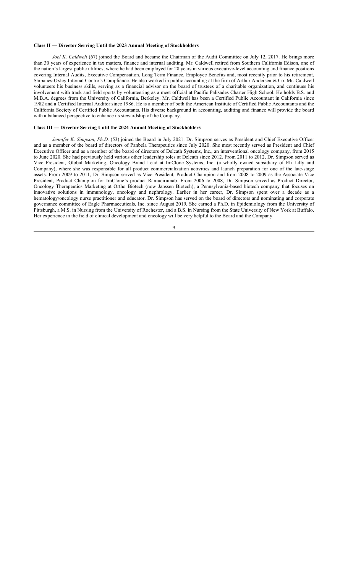#### **Class II — Director Serving Until the 2023 Annual Meeting of Stockholders**

*Joel K. Caldwell* (67) joined the Board and became the Chairman of the Audit Committee on July 12, 2017. He brings more than 30 years of experience in tax matters, finance and internal auditing. Mr. Caldwell retired from Southern California Edison, one of the nation's largest public utilities, where he had been employed for 28 years in various executive-level accounting and finance positions covering Internal Audits, Executive Compensation, Long Term Finance, Employee Benefits and, most recently prior to his retirement, Sarbanes-Oxley Internal Controls Compliance. He also worked in public accounting at the firm of Arthur Andersen & Co. Mr. Caldwell volunteers his business skills, serving as a financial advisor on the board of trustees of a charitable organization, and continues his involvement with track and field sports by volunteering as a meet official at Pacific Palisades Charter High School. He holds B.S. and M.B.A. degrees from the University of California, Berkeley. Mr. Caldwell has been a Certified Public Accountant in California since 1982 and a Certified Internal Auditor since 1986. He is a member of both the American Institute of Certified Public Accountants and the California Society of Certified Public Accountants. His diverse background in accounting, auditing and finance will provide the board with a balanced perspective to enhance its stewardship of the Company.

#### **Class III — Director Serving Until the 2024 Annual Meeting of Stockholders**

*Jennifer K. Simpson, Ph.D.* (53) joined the Board in July 2021. Dr. Simpson serves as President and Chief Executive Officer and as a member of the board of directors of Panbela Therapeutics since July 2020. She most recently served as President and Chief Executive Officer and as a member of the board of directors of Delcath Systems, Inc., an interventional oncology company, from 2015 to June 2020. She had previously held various other leadership roles at Delcath since 2012. From 2011 to 2012, Dr. Simpson served as Vice President, Global Marketing, Oncology Brand Lead at ImClone Systems, Inc. (a wholly owned subsidiary of Eli Lilly and Company), where she was responsible for all product commercialization activities and launch preparation for one of the late-stage assets. From 2009 to 2011, Dr. Simpson served as Vice President, Product Champion and from 2008 to 2009 as the Associate Vice President, Product Champion for ImClone's product Ramucirumab. From 2006 to 2008, Dr. Simpson served as Product Director, Oncology Therapeutics Marketing at Ortho Biotech (now Janssen Biotech), a Pennsylvania-based biotech company that focuses on innovative solutions in immunology, oncology and nephrology. Earlier in her career, Dr. Simpson spent over a decade as a hematology/oncology nurse practitioner and educator. Dr. Simpson has served on the board of directors and nominating and corporate governance committee of Eagle Pharmaceuticals, Inc. since August 2019. She earned a Ph.D. in Epidemiology from the University of Pittsburgh, a M.S. in Nursing from the University of Rochester, and a B.S. in Nursing from the State University of New York at Buffalo. Her experience in the field of clinical development and oncology will be very helpful to the Board and the Company.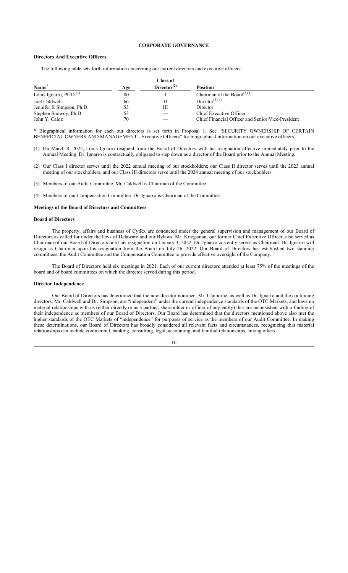## **CORPORATE GOVERNANCE**

## **Directors And Executive Officers**

The following table sets forth information concerning our current directors and executive officers:

|                           |     | <b>Class of</b>         |                                                   |
|---------------------------|-----|-------------------------|---------------------------------------------------|
| Name <sup>®</sup>         | Age | Director <sup>(2)</sup> | <b>Position</b>                                   |
| Louis Ignarro, $Ph.D.(1)$ | 80  |                         | Chairman of the Board $(3)(4)$                    |
| Joel Caldwell             | 66  |                         | Director <sup><math>(3)(4)</math></sup>           |
| Jennifer K Simpson, Ph.D. | 53  | Ш                       | Director                                          |
| Stephen Snowdy, Ph.D.     | 53  |                         | Chief Executive Officer                           |
| John Y. Caloz             | 70  |                         | Chief Financial Officer and Senior Vice-President |

\* Biographical information for each our directors is set forth in Proposal 1. See "SECURITY OWNERSHIP OF CERTAIN BENEFICIAL OWNERS AND MANAGEMENT - Executive Officers" for biographical information on our executive officers.

- (1) On March 8, 2022, Louis Ignarro resigned from the Board of Directors with his resignation effective immediately prior to the Annual Meeting. Dr. Ignarro is contractually obligated to step down as a director of the Board prior to the Annual Meeting.
- (2) Our Class I director serves until the 2022 annual meeting of our stockholders; our Class II director serves until the 2023 annual meeting of our stockholders, and our Class III directors serve until the 2024 annual meeting of our stockholders.
- (3) Members of our Audit Committee. Mr. Caldwell is Chairman of the Committee.
- (4) Members of our Compensation Committee. Dr. Ignarro is Chairman of the Committee.

#### **Meetings of the Board of Directors and Committees**

#### **Board of Directors**

The property, affairs and business of CytRx are conducted under the general supervision and management of our Board of Directors as called for under the laws of Delaware and our Bylaws. Mr. Kriegsman, our former Chief Executive Officer, also served as Chairman of our Board of Directors until his resignation on January 3, 2022. Dr. Ignarro currently serves as Chairman. Dr. Ignarro will resign as Chairman upon his resignation from the Board on July 26, 2022. Our Board of Directors has established two standing committees, the Audit Committee and the Compensation Committee to provide effective oversight of the Company.

The Board of Directors held six meetings in 2021. Each of our current directors attended at least 75% of the meetings of the board and of board committees on which the director served during this period.

#### **Director Independence**

Our Board of Directors has determined that the new director nominee, Mr. Claiborne, as well as Dr. Ignarro and the continuing directors, Mr. Caldwell and Dr. Simpson, are "independent" under the current independence standards of the OTC Markets, and have no material relationships with us (either directly or as a partner, shareholder or officer of any entity) that are inconsistent with a finding of their independence as members of our Board of Directors. Our Board has determined that the directors mentioned above also met the higher standards of the OTC Markets of "independence" for purposes of service as the members of our Audit Committee. In making these determinations, our Board of Directors has broadly considered all relevant facts and circumstances, recognizing that material relationships can include commercial, banking, consulting, legal, accounting, and familial relationships, among others.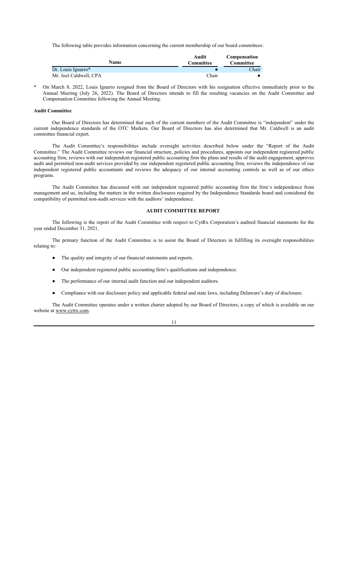The following table provides information concerning the current membership of our board committees:

| Name                   | Audit<br><b>Committee</b> | <b>Compensation</b><br><b>Committee</b> |
|------------------------|---------------------------|-----------------------------------------|
| Dr. Louis Ignarro*     |                           | Chair                                   |
| Mr. Joel Caldwell, CPA | Chair                     |                                         |

On March 8, 2022, Louis Ignarro resigned from the Board of Directors with his resignation effective immediately prior to the Annual Meeting (July 26, 2022). The Board of Directors intends to fill the resulting vacancies on the Audit Committee and Compensation Committee following the Annual Meeting.

## **Audit Committee**

Our Board of Directors has determined that each of the current members of the Audit Committee is "independent" under the current independence standards of the OTC Markets. Our Board of Directors has also determined that Mr. Caldwell is an audit committee financial expert.

The Audit Committee's responsibilities include oversight activities described below under the "Report of the Audit Committee." The Audit Committee reviews our financial structure, policies and procedures, appoints our independent registered public accounting firm, reviews with our independent registered public accounting firm the plans and results of the audit engagement, approves audit and permitted non-audit services provided by our independent registered public accounting firm, reviews the independence of our independent registered public accountants and reviews the adequacy of our internal accounting controls as well as of our ethics programs.

The Audit Committee has discussed with our independent registered public accounting firm the firm's independence from management and us, including the matters in the written disclosures required by the Independence Standards board and considered the compatibility of permitted non-audit services with the auditors' independence.

## **AUDIT COMMITTEE REPORT**

The following is the report of the Audit Committee with respect to CytRx Corporation's audited financial statements for the year ended December 31, 2021.

The primary function of the Audit Committee is to assist the Board of Directors in fulfilling its oversight responsibilities relating to:

- The quality and integrity of our financial statements and reports.
- Our independent registered public accounting firm's qualifications and independence.
- The performance of our internal audit function and our independent auditors.
- Compliance with our disclosure policy and applicable federal and state laws, including Delaware's duty of disclosure.

The Audit Committee operates under a written charter adopted by our Board of Directors, a copy of which is available on our website at www.cytrx.com.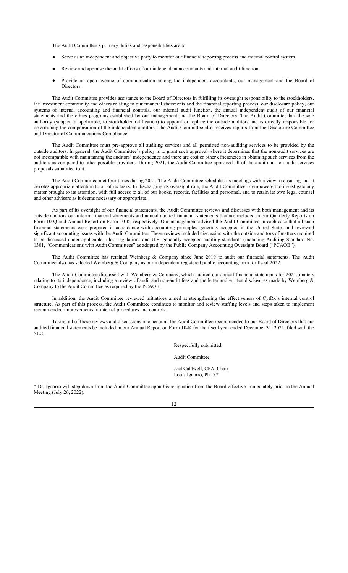The Audit Committee's primary duties and responsibilities are to:

- Serve as an independent and objective party to monitor our financial reporting process and internal control system.
- Review and appraise the audit efforts of our independent accountants and internal audit function.
- Provide an open avenue of communication among the independent accountants, our management and the Board of Directors.

The Audit Committee provides assistance to the Board of Directors in fulfilling its oversight responsibility to the stockholders, the investment community and others relating to our financial statements and the financial reporting process, our disclosure policy, our systems of internal accounting and financial controls, our internal audit function, the annual independent audit of our financial statements and the ethics programs established by our management and the Board of Directors. The Audit Committee has the sole authority (subject, if applicable, to stockholder ratification) to appoint or replace the outside auditors and is directly responsible for determining the compensation of the independent auditors. The Audit Committee also receives reports from the Disclosure Committee and Director of Communications Compliance.

The Audit Committee must pre-approve all auditing services and all permitted non-auditing services to be provided by the outside auditors. In general, the Audit Committee's policy is to grant such approval where it determines that the non-audit services are not incompatible with maintaining the auditors' independence and there are cost or other efficiencies in obtaining such services from the auditors as compared to other possible providers. During 2021, the Audit Committee approved all of the audit and non-audit services proposals submitted to it.

The Audit Committee met four times during 2021. The Audit Committee schedules its meetings with a view to ensuring that it devotes appropriate attention to all of its tasks. In discharging its oversight role, the Audit Committee is empowered to investigate any matter brought to its attention, with full access to all of our books, records, facilities and personnel, and to retain its own legal counsel and other advisers as it deems necessary or appropriate.

As part of its oversight of our financial statements, the Audit Committee reviews and discusses with both management and its outside auditors our interim financial statements and annual audited financial statements that are included in our Quarterly Reports on Form 10-Q and Annual Report on Form 10-K, respectively. Our management advised the Audit Committee in each case that all such financial statements were prepared in accordance with accounting principles generally accepted in the United States and reviewed significant accounting issues with the Audit Committee. These reviews included discussion with the outside auditors of matters required to be discussed under applicable rules, regulations and U.S. generally accepted auditing standards (including Auditing Standard No. 1301, "Communications with Audit Committees" as adopted by the Public Company Accounting Oversight Board ("PCAOB").

The Audit Committee has retained Weinberg & Company since June 2019 to audit our financial statements. The Audit Committee also has selected Weinberg & Company as our independent registered public accounting firm for fiscal 2022.

The Audit Committee discussed with Weinberg & Company, which audited our annual financial statements for 2021, matters relating to its independence, including a review of audit and non-audit fees and the letter and written disclosures made by Weinberg & Company to the Audit Committee as required by the PCAOB.

In addition, the Audit Committee reviewed initiatives aimed at strengthening the effectiveness of CytRx's internal control structure. As part of this process, the Audit Committee continues to monitor and review staffing levels and steps taken to implement recommended improvements in internal procedures and controls.

Taking all of these reviews and discussions into account, the Audit Committee recommended to our Board of Directors that our audited financial statements be included in our Annual Report on Form 10-K for the fiscal year ended December 31, 2021, filed with the SEC.

Respectfully submitted,

Audit Committee:

Joel Caldwell, CPA, Chair Louis Ignarro, Ph.D.\*

\* Dr. Ignarro will step down from the Audit Committee upon his resignation from the Board effective immediately prior to the Annual Meeting (July 26, 2022).

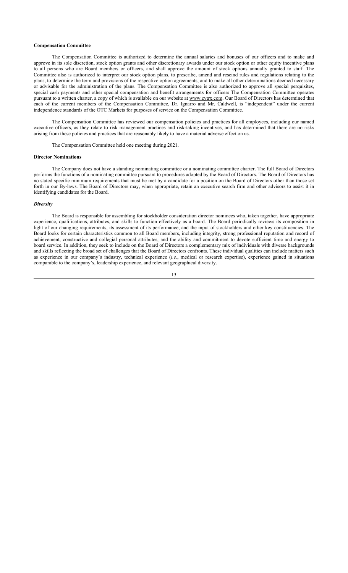#### **Compensation Committee**

The Compensation Committee is authorized to determine the annual salaries and bonuses of our officers and to make and approve in its sole discretion, stock option grants and other discretionary awards under our stock option or other equity incentive plans to all persons who are Board members or officers, and shall approve the amount of stock options annually granted to staff. The Committee also is authorized to interpret our stock option plans, to prescribe, amend and rescind rules and regulations relating to the plans, to determine the term and provisions of the respective option agreements, and to make all other determinations deemed necessary or advisable for the administration of the plans. The Compensation Committee is also authorized to approve all special perquisites, special cash payments and other special compensation and benefit arrangements for officers The Compensation Committee operates pursuant to a written charter, a copy of which is available on our website at www.cytrx.com. Our Board of Directors has determined that each of the current members of the Compensation Committee, Dr. Ignarro and Mr. Caldwell, is "independent" under the current independence standards of the OTC Markets for purposes of service on the Compensation Committee.

The Compensation Committee has reviewed our compensation policies and practices for all employees, including our named executive officers, as they relate to risk management practices and risk-taking incentives, and has determined that there are no risks arising from these policies and practices that are reasonably likely to have a material adverse effect on us.

The Compensation Committee held one meeting during 2021.

## **Director Nominations**

The Company does not have a standing nominating committee or a nominating committee charter. The full Board of Directors performs the functions of a nominating committee pursuant to procedures adopted by the Board of Directors. The Board of Directors has no stated specific minimum requirements that must be met by a candidate for a position on the Board of Directors other than those set forth in our By-laws. The Board of Directors may, when appropriate, retain an executive search firm and other advisors to assist it in identifying candidates for the Board.

#### *Diversity*

The Board is responsible for assembling for stockholder consideration director nominees who, taken together, have appropriate experience, qualifications, attributes, and skills to function effectively as a board. The Board periodically reviews its composition in light of our changing requirements, its assessment of its performance, and the input of stockholders and other key constituencies. The Board looks for certain characteristics common to all Board members, including integrity, strong professional reputation and record of achievement, constructive and collegial personal attributes, and the ability and commitment to devote sufficient time and energy to board service. In addition, they seek to include on the Board of Directors a complementary mix of individuals with diverse backgrounds and skills reflecting the broad set of challenges that the Board of Directors confronts. These individual qualities can include matters such as experience in our company's industry, technical experience (*i.e.*, medical or research expertise), experience gained in situations comparable to the company's, leadership experience, and relevant geographical diversity.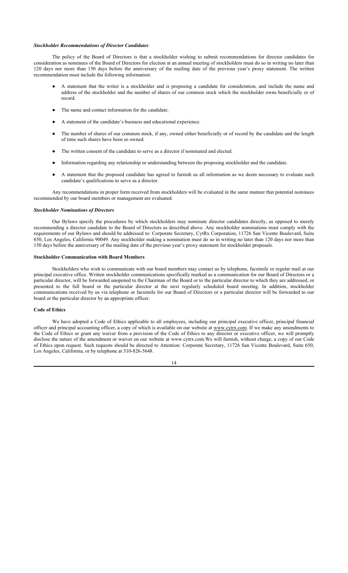#### *Stockholder Recommendations of Director Candidates*

The policy of the Board of Directors is that a stockholder wishing to submit recommendations for director candidates for consideration as nominees of the Board of Directors for election at an annual meeting of stockholders must do so in writing no later than 120 days nor more than 150 days before the anniversary of the mailing date of the previous year's proxy statement. The written recommendation must include the following information:

- A statement that the writer is a stockholder and is proposing a candidate for consideration, and include the name and address of the stockholder and the number of shares of our common stock which the stockholder owns beneficially or of record.
- The name and contact information for the candidate.
- A statement of the candidate's business and educational experience.
- The number of shares of our common stock, if any, owned either beneficially or of record by the candidate and the length of time such shares have been so owned.
- The written consent of the candidate to serve as a director if nominated and elected.
- Information regarding any relationship or understanding between the proposing stockholder and the candidate.
- A statement that the proposed candidate has agreed to furnish us all information as we deem necessary to evaluate such candidate's qualifications to serve as a director.

Any recommendations in proper form received from stockholders will be evaluated in the same manner that potential nominees recommended by our board members or management are evaluated.

#### *Stockholder Nominations of Directors*

Our Bylaws specify the procedures by which stockholders may nominate director candidates directly, as opposed to merely recommending a director candidate to the Board of Directors as described above. Any stockholder nominations must comply with the requirements of our Bylaws and should be addressed to: Corporate Secretary, CytRx Corporation, 11726 San Vicente Boulevard, Suite 650, Los Angeles, California 90049. Any stockholder making a nomination must do so in writing no later than 120 days nor more than 150 days before the anniversary of the mailing date of the previous year's proxy statement for stockholder proposals.

#### **Stockholder Communication with Board Members**

Stockholders who wish to communicate with our board members may contact us by telephone, facsimile or regular mail at our principal executive office. Written stockholder communications specifically marked as a communication for our Board of Directors or a particular director, will be forwarded unopened to the Chairman of the Board or to the particular director to which they are addressed, or presented to the full board or the particular director at the next regularly scheduled board meeting. In addition, stockholder communications received by us via telephone or facsimile for our Board of Directors or a particular director will be forwarded to our board or the particular director by an appropriate officer.

## **Code of Ethics**

We have adopted a Code of Ethics applicable to all employees, including our principal executive officer, principal financial officer and principal accounting officer, a copy of which is available on our website at www.cytrx.com. If we make any amendments to the Code of Ethics or grant any waiver from a provision of the Code of Ethics to any director or executive officer, we will promptly disclose the nature of the amendment or waiver on our website at www.cytrx.com.We will furnish, without charge, a copy of our Code of Ethics upon request. Such requests should be directed to Attention: Corporate Secretary, 11726 San Vicente Boulevard, Suite 650, Los Angeles, California, or by telephone at 310-826-5648.

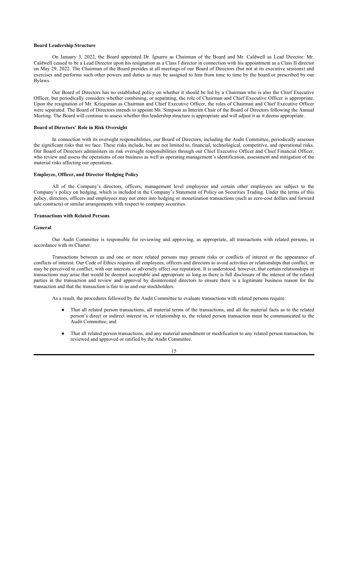#### **Board Leadership Structure**

On January 3, 2022, the Board appointed Dr. Ignarro as Chairman of the Board and Mr. Caldwell as Lead Director. Mr. Caldwell ceased to be a Lead Director upon his resignation as a Class I director in connection with his appointment as a Class II director on May 29, 2022. The Chairman of the Board presides at all meetings of our Board of Directors (but not at its executive sessions) and exercises and performs such other powers and duties as may be assigned to him from time to time by the board or prescribed by our Bylaws.

Our Board of Directors has no established policy on whether it should be led by a Chairman who is also the Chief Executive Officer, but periodically considers whether combining, or separating, the role of Chairman and Chief Executive Officer is appropriate. Upon the resignation of Mr. Kriegsman as Chairman and Chief Executive Officer, the roles of Chairman and Chief Executive Officer were separated. The Board of Directors intends to appoint Ms. Simpson as Interim Chair of the Board of Directors following the Annual Meeting. The Board will continue to assess whether this leadership structure is appropriate and will adjust it as it deems appropriate.

#### **Board of Directors' Role in Risk Oversight**

In connection with its oversight responsibilities, our Board of Directors, including the Audit Committee, periodically assesses the significant risks that we face. These risks include, but are not limited to, financial, technological, competitive, and operational risks. Our Board of Directors administers its risk oversight responsibilities through our Chief Executive Officer and Chief Financial Officer, who review and assess the operations of our business as well as operating management's identification, assessment and mitigation of the material risks affecting our operations.

#### **Employee, Officer, and Director Hedging Policy**

All of the Company's directors, officers, management level employees and certain other employees are subject to the Company's policy on hedging, which is included in the Company's Statement of Policy on Securities Trading. Under the terms of this policy, directors, officers and employees may not enter into hedging or monetization transactions (such as zero-cost dollars and forward sale contracts) or similar arrangements with respect to company securities.

### **Transactions with Related Persons**

## **General**

Our Audit Committee is responsible for reviewing and approving, as appropriate, all transactions with related persons, in accordance with its Charter.

Transactions between us and one or more related persons may present risks or conflicts of interest or the appearance of conflicts of interest. Our Code of Ethics requires all employees, officers and directors to avoid activities or relationships that conflict, or may be perceived to conflict, with our interests or adversely affect our reputation. It is understood, however, that certain relationships or transactions may arise that would be deemed acceptable and appropriate so long as there is full disclosure of the interest of the related parties in the transaction and review and approval by disinterested directors to ensure there is a legitimate business reason for the transaction and that the transaction is fair to us and our stockholders.

As a result, the procedures followed by the Audit Committee to evaluate transactions with related persons require:

- That all related person transactions, all material terms of the transactions, and all the material facts as to the related person's direct or indirect interest in, or relationship to, the related person transaction must be communicated to the Audit Committee; and
- That all related person transactions, and any material amendment or modification to any related person transaction, be reviewed and approved or ratified by the Audit Committee.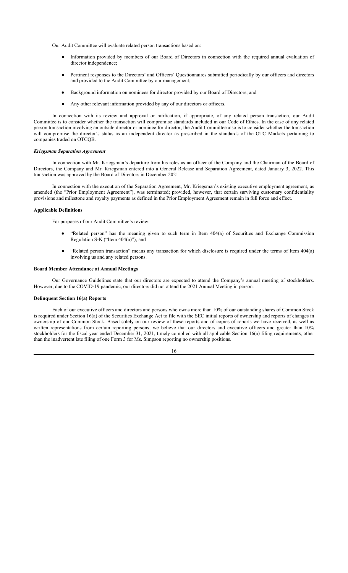Our Audit Committee will evaluate related person transactions based on:

- Information provided by members of our Board of Directors in connection with the required annual evaluation of director independence;
- Pertinent responses to the Directors' and Officers' Questionnaires submitted periodically by our officers and directors and provided to the Audit Committee by our management;
- Background information on nominees for director provided by our Board of Directors; and
- Any other relevant information provided by any of our directors or officers.

In connection with its review and approval or ratification, if appropriate, of any related person transaction, our Audit Committee is to consider whether the transaction will compromise standards included in our Code of Ethics. In the case of any related person transaction involving an outside director or nominee for director, the Audit Committee also is to consider whether the transaction will compromise the director's status as an independent director as prescribed in the standards of the OTC Markets pertaining to companies traded on OTCQB.

#### *Kriegsman Separation Agreement*

In connection with Mr. Kriegsman's departure from his roles as an officer of the Company and the Chairman of the Board of Directors, the Company and Mr. Kriegsman entered into a General Release and Separation Agreement, dated January 3, 2022. This transaction was approved by the Board of Directors in December 2021.

In connection with the execution of the Separation Agreement, Mr. Kriegsman's existing executive employment agreement, as amended (the "Prior Employment Agreement"), was terminated; provided, however, that certain surviving customary confidentiality provisions and milestone and royalty payments as defined in the Prior Employment Agreement remain in full force and effect.

#### **Applicable Definitions**

For purposes of our Audit Committee's review:

- "Related person" has the meaning given to such term in Item 404(a) of Securities and Exchange Commission Regulation S-K ("Item 404(a)"); and
- "Related person transaction" means any transaction for which disclosure is required under the terms of Item 404(a) involving us and any related persons.

#### **Board Member Attendance at Annual Meetings**

Our Governance Guidelines state that our directors are expected to attend the Company's annual meeting of stockholders. However, due to the COVID-19 pandemic, our directors did not attend the 2021 Annual Meeting in person.

#### **Delinquent Section 16(a) Reports**

Each of our executive officers and directors and persons who owns more than 10% of our outstanding shares of Common Stock is required under Section 16(a) of the Securities Exchange Act to file with the SEC initial reports of ownership and reports of changes in ownership of our Common Stock. Based solely on our review of these reports and of copies of reports we have received, as well as written representations from certain reporting persons, we believe that our directors and executive officers and greater than 10% stockholders for the fiscal year ended December 31, 2021, timely complied with all applicable Section 16(a) filing requirements, other than the inadvertent late filing of one Form 3 for Ms. Simpson reporting no ownership positions.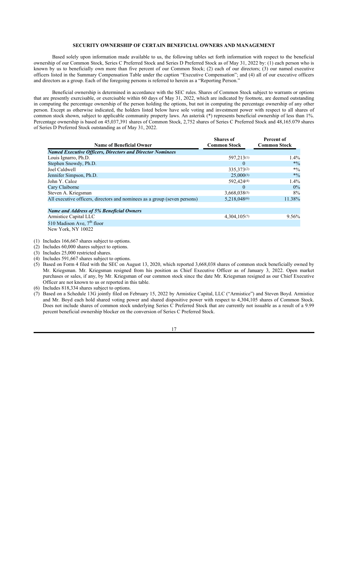## **SECURITY OWNERSHIP OF CERTAIN BENEFICIAL OWNERS AND MANAGEMENT**

Based solely upon information made available to us, the following tables set forth information with respect to the beneficial ownership of our Common Stock, Series C Preferred Stock and Series D Preferred Stock as of May 31, 2022 by: (1) each person who is known by us to beneficially own more than five percent of our Common Stock; (2) each of our directors; (3) our named executive officers listed in the Summary Compensation Table under the caption "Executive Compensation"; and (4) all of our executive officers and directors as a group. Each of the foregoing persons is referred to herein as a "Reporting Person."

Beneficial ownership is determined in accordance with the SEC rules. Shares of Common Stock subject to warrants or options that are presently exercisable, or exercisable within 60 days of May 31, 2022, which are indicated by footnote, are deemed outstanding in computing the percentage ownership of the person holding the options, but not in computing the percentage ownership of any other person. Except as otherwise indicated, the holders listed below have sole voting and investment power with respect to all shares of common stock shown, subject to applicable community property laws. An asterisk (\*) represents beneficial ownership of less than 1%. Percentage ownership is based on 45,037,391 shares of Common Stock, 2,752 shares of Series C Preferred Stock and 48,165.079 shares of Series D Preferred Stock outstanding as of May 31, 2022.

|                                                                           | <b>Shares</b> of    | Percent of          |
|---------------------------------------------------------------------------|---------------------|---------------------|
| <b>Name of Beneficial Owner</b>                                           | <b>Common Stock</b> | <b>Common Stock</b> |
| <b>Named Executive Officers, Directors and Director Nominees</b>          |                     |                     |
| Louis Ignarro, Ph.D.                                                      | 597,213(1)          | 1.4%                |
| Stephen Snowdy, Ph.D.                                                     | $\theta$            | $*0/0$              |
| Joel Caldwell                                                             | 335, 373(2)         | $*9/0$              |
| Jennifer Simpson, Ph.D.                                                   | $25,000^{(3)}$      | $*0/0$              |
| John Y. Caloz                                                             | 592,424(4)          | 1.4%                |
| Cary Claiborne                                                            | $\theta$            | $0\%$               |
| Steven A. Kriegsman                                                       | $3,668,038^{(5)}$   | 8%                  |
| All executive officers, directors and nominees as a group (seven persons) | 5,218,048(6)        | 11.38%              |
|                                                                           |                     |                     |
| Name and Address of 5% Beneficial Owners                                  |                     |                     |
| Armistice Capital LLC                                                     | 4,304,105(7)        | 9.56%               |

510 Madison Ave, 7<sup>th</sup> floor New York, NY 10022

(1) Includes 166,667 shares subject to options.

(2) Includes 60,000 shares subject to options.

- (3) Includes 25,000 restricted shares.
- (4) Includes 591,667 shares subject to options.
- (5) Based on Form 4 filed with the SEC on August 13, 2020, which reported 3,668,038 shares of common stock beneficially owned by Mr. Kriegsman. Mr. Kriegsman resigned from his position as Chief Executive Officer as of January 3, 2022. Open market purchases or sales, if any, by Mr. Kriegsman of our common stock since the date Mr. Kriegsman resigned as our Chief Executive Officer are not known to us or reported in this table.
- (6) Includes 818,334 shares subject to options.
- (7) Based on a Schedule 13G jointly filed on February 15, 2022 by Armistice Capital, LLC ("Armistice") and Steven Boyd. Armistice and Mr. Boyd each hold shared voting power and shared dispositive power with respect to 4,304,105 shares of Common Stock. Does not include shares of common stock underlying Series C Preferred Stock that are currently not issuable as a result of a 9.99 percent beneficial ownership blocker on the conversion of Series C Preferred Stock.

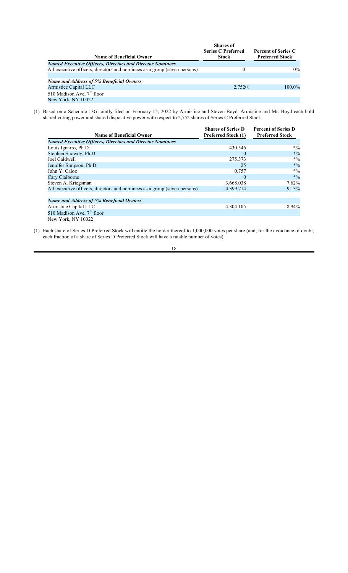|                                                                           | <b>Shares</b> of<br><b>Series C Preferred</b> | <b>Percent of Series C</b> |
|---------------------------------------------------------------------------|-----------------------------------------------|----------------------------|
| <b>Name of Beneficial Owner</b>                                           | <b>Stock</b>                                  | <b>Preferred Stock</b>     |
| <b>Named Executive Officers, Directors and Director Nominees</b>          |                                               |                            |
| All executive officers, directors and nominees as a group (seven persons) | $_{0}$                                        | $0\%$                      |
|                                                                           |                                               |                            |
| <b>Name and Address of 5% Beneficial Owners</b>                           |                                               |                            |
| Armistice Capital LLC                                                     | 2,752(1)                                      | $100.0\%$                  |
| 510 Madison Ave, $7th$ floor                                              |                                               |                            |
| New York, NY 10022                                                        |                                               |                            |

(1) Based on a Schedule 13G jointly filed on February 15, 2022 by Armistice and Steven Boyd. Armistice and Mr. Boyd each hold shared voting power and shared dispositive power with respect to 2,752 shares of Series C Preferred Stock.

| <b>Name of Beneficial Owner</b>                                           | <b>Shares of Series D</b><br><b>Preferred Stock (1)</b> | <b>Percent of Series D</b><br><b>Preferred Stock</b> |
|---------------------------------------------------------------------------|---------------------------------------------------------|------------------------------------------------------|
| <b>Named Executive Officers, Directors and Director Nominees</b>          |                                                         |                                                      |
| Louis Ignarro, Ph.D.                                                      | 430.546                                                 | $*0/0$                                               |
| Stephen Snowdy, Ph.D.                                                     | $\Omega$                                                | $*0/0$                                               |
| Joel Caldwell                                                             | 275.373                                                 | $*0/0$                                               |
| Jennifer Simpson, Ph.D.                                                   | 25                                                      | $*0/0$                                               |
| John Y. Caloz                                                             | 0.757                                                   | $*9/0$                                               |
| Cary Claiborne                                                            | $\Omega$                                                | $*0/0$                                               |
| Steven A. Kriegsman                                                       | 3,668.038                                               | $7.62\%$                                             |
| All executive officers, directors and nominees as a group (seven persons) | 4,399.714                                               | 9.13%                                                |
| <b>Name and Address of 5% Beneficial Owners</b>                           |                                                         |                                                      |
| Armistice Capital LLC                                                     | 4,304.105                                               | 8.94%                                                |
| 510 Madison Ave, $7th$ floor                                              |                                                         |                                                      |
| New York, NY 10022                                                        |                                                         |                                                      |

(1) Each share of Series D Preferred Stock will entitle the holder thereof to 1,000,000 votes per share (and, for the avoidance of doubt, each fraction of a share of Series D Preferred Stock will have a ratable number of votes).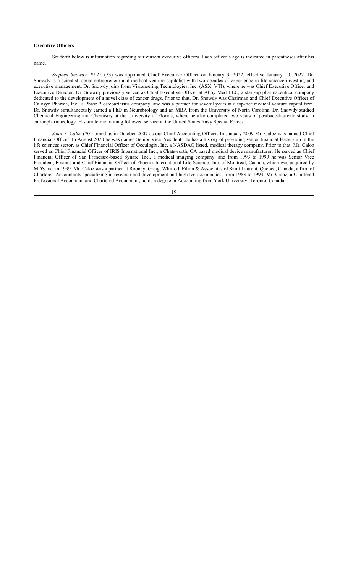## **Executive Officers**

Set forth below is information regarding our current executive officers. Each officer's age is indicated in parentheses after his name.

*Stephen Snowdy, Ph.D*. (53) was appointed Chief Executive Officer on January 3, 2022, effective January 10, 2022. Dr. Snowdy is a scientist, serial entrepreneur and medical venture capitalist with two decades of experience in life science investing and executive management. Dr. Snowdy joins from Visioneering Technologies, Inc. (ASX: VTI), where he was Chief Executive Officer and Executive Director. Dr. Snowdy previously served as Chief Executive Officer at Abby Med LLC, a start-up pharmaceutical company dedicated to the development of a novel class of cancer drugs. Prior to that, Dr. Snowdy was Chairman and Chief Executive Officer of Calosyn Pharma, Inc., a Phase 2 osteoarthritis company, and was a partner for several years at a top-tier medical venture capital firm. Dr. Snowdy simultaneously earned a PhD in Neurobiology and an MBA from the University of North Carolina. Dr. Snowdy studied Chemical Engineering and Chemistry at the University of Florida, where he also completed two years of postbaccalaureate study in cardiopharmacology. His academic training followed service in the United States Navy Special Forces.

*John Y. Caloz* (70) joined us in October 2007 as our Chief Accounting Officer. In January 2009 Mr. Caloz was named Chief Financial Officer. In August 2020 he was named Senior Vice President. He has a history of providing senior financial leadership in the life sciences sector, as Chief Financial Officer of Occulogix, Inc, a NASDAQ listed, medical therapy company. Prior to that, Mr. Caloz served as Chief Financial Officer of IRIS International Inc., a Chatsworth, CA based medical device manufacturer. He served as Chief Financial Officer of San Francisco-based Synarc, Inc., a medical imaging company, and from 1993 to 1999 he was Senior Vice President, Finance and Chief Financial Officer of Phoenix International Life Sciences Inc. of Montreal, Canada, which was acquired by MDS Inc. in 1999. Mr. Caloz was a partner at Rooney, Greig, Whitrod, Filion & Associates of Saint Laurent, Quebec, Canada, a firm of Chartered Accountants specializing in research and development and high-tech companies, from 1983 to 1993. Mr. Caloz, a Chartered Professional Accountant and Chartered Accountant, holds a degree in Accounting from York University, Toronto, Canada.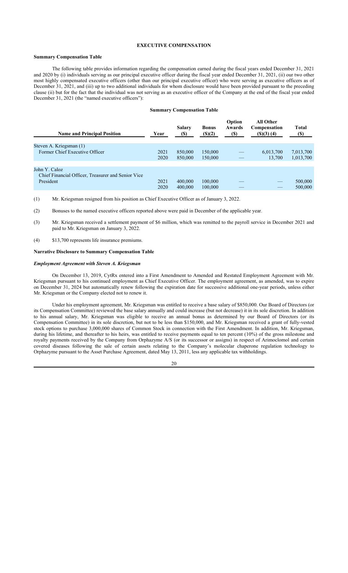## **EXECUTIVE COMPENSATION**

## **Summary Compensation Table**

The following table provides information regarding the compensation earned during the fiscal years ended December 31, 2021 and 2020 by (i) individuals serving as our principal executive officer during the fiscal year ended December 31, 2021, (ii) our two other most highly compensated executive officers (other than our principal executive officer) who were serving as executive officers as of December 31, 2021, and (iii) up to two additional individuals for whom disclosure would have been provided pursuant to the preceding clause (ii) but for the fact that the individual was not serving as an executive officer of the Company at the end of the fiscal year ended December 31, 2021 (the "named executive officers"):

#### **Summary Compensation Table**

| <b>Name and Principal Position</b>                                               | Year         | Salary<br><b>(\$)</b> | <b>Bonus</b><br>$($ (\$)(2) | Option<br>Awards<br><b>(\$)</b> | <b>All Other</b><br><b>Compensation</b><br>$($ (\$) $(3)$ $(4)$ | <b>Total</b><br>(\$)   |
|----------------------------------------------------------------------------------|--------------|-----------------------|-----------------------------|---------------------------------|-----------------------------------------------------------------|------------------------|
| Steven A. Kriegsman (1)<br>Former Chief Executive Officer                        | 2021<br>2020 | 850,000<br>850,000    | 150,000<br>150,000          |                                 | 6,013,700<br>13,700                                             | 7,013,700<br>1,013,700 |
| John Y. Caloz<br>Chief Financial Officer, Treasurer and Senior Vice<br>President | 2021<br>2020 | 400,000<br>400,000    | 100,000<br>100,000          |                                 |                                                                 | 500,000<br>500,000     |

(1) Mr. Kriegsman resigned from his position as Chief Executive Officer as of January 3, 2022.

(2) Bonuses to the named executive officers reported above were paid in December of the applicable year.

(3) Mr. Kriegsman received a settlement payment of \$6 million, which was remitted to the payroll service in December 2021 and paid to Mr. Kriegsman on January 3, 2022.

(4) \$13,700 represents life insurance premiums.

#### **Narrative Disclosure to Summary Compensation Table**

## *Employment Agreement with Steven A. Kriegsman*

On December 13, 2019, CytRx entered into a First Amendment to Amended and Restated Employment Agreement with Mr. Kriegsman pursuant to his continued employment as Chief Executive Officer. The employment agreement, as amended, was to expire on December 31, 2024 but automatically renew following the expiration date for successive additional one-year periods, unless either Mr. Kriegsman or the Company elected not to renew it.

Under his employment agreement, Mr. Kriegsman was entitled to receive a base salary of \$850,000. Our Board of Directors (or its Compensation Committee) reviewed the base salary annually and could increase (but not decrease) it in its sole discretion. In addition to his annual salary, Mr. Kriegsman was eligible to receive an annual bonus as determined by our Board of Directors (or its Compensation Committee) in its sole discretion, but not to be less than \$150,000, and Mr. Kriegsman received a grant of fully-vested stock options to purchase 3,000,000 shares of Common Stock in connection with the First Amendment. In addition, Mr. Kriegsman, during his lifetime, and thereafter to his heirs, was entitled to receive payments equal to ten percent (10%) of the gross milestone and royalty payments received by the Company from Orphazyme A/S (or its successor or assigns) in respect of Arimoclomol and certain covered diseases following the sale of certain assets relating to the Company's molecular chaperone regulation technology to Orphazyme pursuant to the Asset Purchase Agreement, dated May 13, 2011, less any applicable tax withholdings.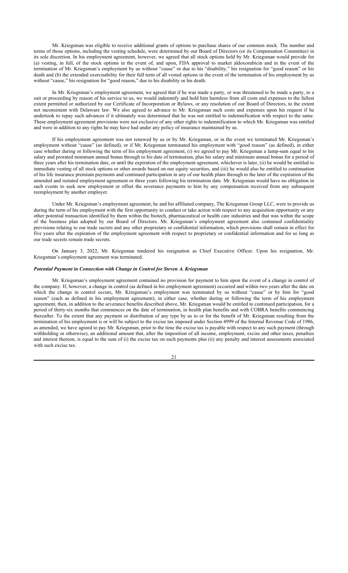Mr. Kriegsman was eligible to receive additional grants of options to purchase shares of our common stock. The number and terms of those options, including the vesting schedule, were determined by our Board of Directors (or its Compensation Committee) in its sole discretion. In his employment agreement, however, we agreed that all stock options held by Mr. Kriegsman would provide for (a) vesting, in full, of the stock options in the event of, and upon, FDA approval to market aldoxorubicin and in the event of the termination of Mr. Kriegsman's employment by us without "cause" or due to his "disability," his resignation for "good reason" or his death and (b) the extended exercisability for their full term of all vested options in the event of the termination of his employment by us without "cause," his resignation for "good reason," due to his disability or his death.

In Mr. Kriegsman's employment agreement, we agreed that if he was made a party, or was threatened to be made a party, to a suit or proceeding by reason of his service to us, we would indemnify and hold him harmless from all costs and expenses to the fullest extent permitted or authorized by our Certificate of Incorporation or Bylaws, or any resolution of our Board of Directors, to the extent not inconsistent with Delaware law. We also agreed to advance to Mr. Kriegsman such costs and expenses upon his request if he undertook to repay such advances if it ultimately was determined that he was not entitled to indemnification with respect to the same. These employment agreement provisions were not exclusive of any other rights to indemnification to which Mr. Kriegsman was entitled and were in addition to any rights he may have had under any policy of insurance maintained by us.

If his employment agreement was not renewed by us or by Mr. Kriegsman, or in the event we terminated Mr. Kriegsman's employment without "cause" (as defined), or if Mr. Kriegsman terminated his employment with "good reason" (as defined), in either case whether during or following the term of his employment agreement, (i) we agreed to pay Mr. Kriegsman a lump-sum equal to his salary and prorated minimum annual bonus through to his date of termination, plus his salary and minimum annual bonus for a period of three years after his termination date, or until the expiration of the employment agreement, whichever is later, (ii) he would be entitled to immediate vesting of all stock options or other awards based on our equity securities, and (iii) he would also be entitled to continuation of his life insurance premium payments and continued participation in any of our health plans through to the later of the expiration of the amended and restated employment agreement or three years following his termination date. Mr. Kriegsman would have no obligation in such events to seek new employment or offset the severance payments to him by any compensation received from any subsequent reemployment by another employer.

Under Mr. Kriegsman's employment agreement, he and his affiliated company, The Kriegsman Group LLC, were to provide us during the term of his employment with the first opportunity to conduct or take action with respect to any acquisition opportunity or any other potential transaction identified by them within the biotech, pharmaceutical or health care industries and that was within the scope of the business plan adopted by our Board of Directors. Mr. Kriegsman's employment agreement also contained confidentiality provisions relating to our trade secrets and any other proprietary or confidential information, which provisions shall remain in effect for five years after the expiration of the employment agreement with respect to proprietary or confidential information and for so long as our trade secrets remain trade secrets.

On January 3, 2022, Mr. Kriegsman tendered his resignation as Chief Executive Officer. Upon his resignation, Mr. Kriegsman's employment agreement was terminated.

#### *Potential Payment in Connection with Change in Control for Steven A. Kriegsman*

Mr. Kriegsman's employment agreement contained no provision for payment to him upon the event of a change in control of the company. If, however, a change in control (as defined in his employment agreement) occurred and within two years after the date on which the change in control occurs, Mr. Kriegsman's employment was terminated by us without "cause" or by him for "good reason" (each as defined in his employment agreement), in either case, whether during or following the term of his employment agreement, then, in addition to the severance benefits described above, Mr. Kriegsman would be entitled to continued participation, for a period of thirty-six months that commences on the date of termination, in health plan benefits and with COBRA benefits commencing thereafter. To the extent that any payment or distribution of any type by us to or for the benefit of Mr. Kriegsman resulting from the termination of his employment is or will be subject to the excise tax imposed under Section 4999 of the Internal Revenue Code of 1986, as amended, we have agreed to pay Mr. Kriegsman, prior to the time the excise tax is payable with respect to any such payment (through withholding or otherwise), an additional amount that, after the imposition of all income, employment, excise and other taxes, penalties and interest thereon, is equal to the sum of (i) the excise tax on such payments plus (ii) any penalty and interest assessments associated with such excise tax.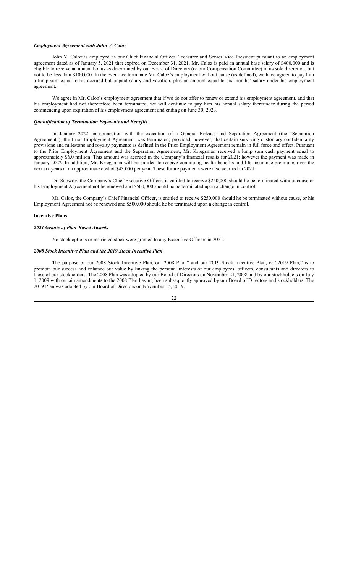#### *Employment Agreement with John Y. Caloz*

John Y. Caloz is employed as our Chief Financial Officer, Treasurer and Senior Vice President pursuant to an employment agreement dated as of January 5, 2021 that expired on December 31, 2021. Mr. Caloz is paid an annual base salary of \$400,000 and is eligible to receive an annual bonus as determined by our Board of Directors (or our Compensation Committee) in its sole discretion, but not to be less than \$100,000. In the event we terminate Mr. Caloz's employment without cause (as defined), we have agreed to pay him a lump-sum equal to his accrued but unpaid salary and vacation, plus an amount equal to six months' salary under his employment agreement.

We agree in Mr. Caloz's employment agreement that if we do not offer to renew or extend his employment agreement, and that his employment had not theretofore been terminated, we will continue to pay him his annual salary thereunder during the period commencing upon expiration of his employment agreement and ending on June 30, 2023.

#### *Quantification of Termination Payments and Benefits*

In January 2022, in connection with the execution of a General Release and Separation Agreement (the "Separation Agreement"), the Prior Employment Agreement was terminated; provided, however, that certain surviving customary confidentiality provisions and milestone and royalty payments as defined in the Prior Employment Agreement remain in full force and effect. Pursuant to the Prior Employment Agreement and the Separation Agreement, Mr. Kriegsman received a lump sum cash payment equal to approximately \$6.0 million. This amount was accrued in the Company's financial results for 2021; however the payment was made in January 2022. In addition, Mr. Kriegsman will be entitled to receive continuing health benefits and life insurance premiums over the next six years at an approximate cost of \$43,000 per year. These future payments were also accrued in 2021.

Dr. Snowdy, the Company's Chief Executive Officer, is entitled to receive \$250,000 should he be terminated without cause or his Employment Agreement not be renewed and \$500,000 should he be terminated upon a change in control.

Mr. Caloz, the Company's Chief Financial Officer, is entitled to receive \$250,000 should he be terminated without cause, or his Employment Agreement not be renewed and \$500,000 should he be terminated upon a change in control.

## **Incentive Plans**

## *2021 Grants of Plan-Based Awards*

No stock options or restricted stock were granted to any Executive Officers in 2021.

#### *2008 Stock Incentive Plan and the 2019 Stock Incentive Plan*

The purpose of our 2008 Stock Incentive Plan, or "2008 Plan," and our 2019 Stock Incentive Plan, or "2019 Plan," is to promote our success and enhance our value by linking the personal interests of our employees, officers, consultants and directors to those of our stockholders. The 2008 Plan was adopted by our Board of Directors on November 21, 2008 and by our stockholders on July 1, 2009 with certain amendments to the 2008 Plan having been subsequently approved by our Board of Directors and stockholders. The 2019 Plan was adopted by our Board of Directors on November 15, 2019.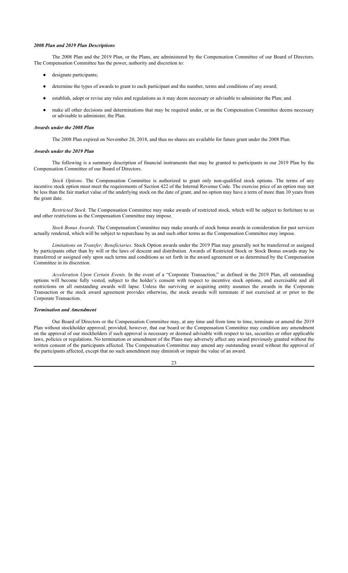#### *2008 Plan and 2019 Plan Descriptions*

The 2008 Plan and the 2019 Plan, or the Plans, are administered by the Compensation Committee of our Board of Directors. The Compensation Committee has the power, authority and discretion to:

- designate participants;
- determine the types of awards to grant to each participant and the number, terms and conditions of any award;
- establish, adopt or revise any rules and regulations as it may deem necessary or advisable to administer the Plan; and
- make all other decisions and determinations that may be required under, or as the Compensation Committee deems necessary or advisable to administer, the Plan.

#### *Awards under the 2008 Plan*

The 2008 Plan expired on November 20, 2018, and thus no shares are available for future grant under the 2008 Plan.

#### *Awards under the 2019 Plan*

The following is a summary description of financial instruments that may be granted to participants in our 2019 Plan by the Compensation Committee of our Board of Directors.

*Stock Options*. The Compensation Committee is authorized to grant only non-qualified stock options. The terms of any incentive stock option must meet the requirements of Section 422 of the Internal Revenue Code. The exercise price of an option may not be less than the fair market value of the underlying stock on the date of grant, and no option may have a term of more than 10 years from the grant date.

*Restricted Stock*. The Compensation Committee may make awards of restricted stock, which will be subject to forfeiture to us and other restrictions as the Compensation Committee may impose.

*Stock Bonus Awards.* The Compensation Committee may make awards of stock bonus awards in consideration for past services actually rendered, which will be subject to repurchase by us and such other terms as the Compensation Committee may impose.

*Limitations on Transfer; Beneficiaries.* Stock Option awards under the 2019 Plan may generally not be transferred or assigned by participants other than by will or the laws of descent and distribution. Awards of Restricted Stock or Stock Bonus awards may be transferred or assigned only upon such terms and conditions as set forth in the award agreement or as determined by the Compensation Committee in its discretion.

*Acceleration Upon Certain Events.* In the event of a "Corporate Transaction," as defined in the 2019 Plan, all outstanding options will become fully vested, subject to the holder's consent with respect to incentive stock options, and exercisable and all restrictions on all outstanding awards will lapse. Unless the surviving or acquiring entity assumes the awards in the Corporate Transaction or the stock award agreement provides otherwise, the stock awards will terminate if not exercised at or prior to the Corporate Transaction.

## *Termination and Amendment*

Our Board of Directors or the Compensation Committee may, at any time and from time to time, terminate or amend the 2019 Plan without stockholder approval; provided, however, that our board or the Compensation Committee may condition any amendment on the approval of our stockholders if such approval is necessary or deemed advisable with respect to tax, securities or other applicable laws, policies or regulations. No termination or amendment of the Plans may adversely affect any award previously granted without the written consent of the participants affected. The Compensation Committee may amend any outstanding award without the approval of the participants affected, except that no such amendment may diminish or impair the value of an award.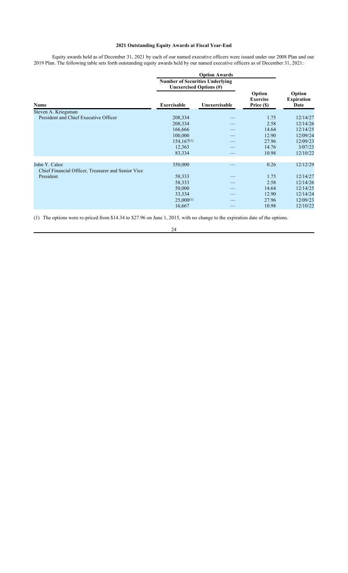## **2021 Outstanding Equity Awards at Fiscal Year-End**

Equity awards held as of December 31, 2021 by each of our named executive officers were issued under our 2008 Plan and our 2019 Plan. The following table sets forth outstanding equity awards held by our named executive officers as of December 31, 2021:

|                                                                     | <b>Number of Securities Underlying</b><br>Unexercised Options (#) |               |                                         |                                     |  |
|---------------------------------------------------------------------|-------------------------------------------------------------------|---------------|-----------------------------------------|-------------------------------------|--|
| Name                                                                | Exercisable                                                       | Unexercisable | Option<br><b>Exercise</b><br>Price (\$) | Option<br><b>Expiration</b><br>Date |  |
| Steven A. Kriegsman                                                 |                                                                   |               |                                         |                                     |  |
| President and Chief Executive Officer                               | 208,334                                                           |               | 1.75                                    | 12/14/27                            |  |
|                                                                     | 208,334                                                           |               | 2.58                                    | 12/14/26                            |  |
|                                                                     | 166,666                                                           |               | 14.64                                   | 12/14/25                            |  |
|                                                                     | 100,000                                                           |               | 12.90                                   | 12/09/24                            |  |
|                                                                     | $154, 167^{(1)}$                                                  |               | 27.96                                   | 12/09/23                            |  |
|                                                                     | 12,363                                                            |               | 14.76                                   | 3/07/23                             |  |
|                                                                     | 83,334                                                            |               | 10.98                                   | 12/10/22                            |  |
|                                                                     |                                                                   |               |                                         |                                     |  |
| John Y. Caloz<br>Chief Financial Officer, Treasurer and Senior Vice | 350,000                                                           |               | 0.26                                    | 12/12/29                            |  |
| President                                                           | 58,333                                                            |               | 1.75                                    | 12/14/27                            |  |
|                                                                     | 58,333                                                            |               | 2.58                                    | 12/14/26                            |  |
|                                                                     | 50,000                                                            |               | 14.64                                   | 12/14/25                            |  |
|                                                                     | 33,334                                                            |               | 12.90                                   | 12/14/24                            |  |
|                                                                     | $25,000^{(1)}$                                                    |               | 27.96                                   | 12/09/23                            |  |
|                                                                     | 16,667                                                            |               | 10.98                                   | 12/10/22                            |  |
|                                                                     |                                                                   |               |                                         |                                     |  |

(1) The options were re-priced from \$14.34 to \$27.96 on June 1, 2015, with no change to the expiration date of the options.

<sup>24</sup>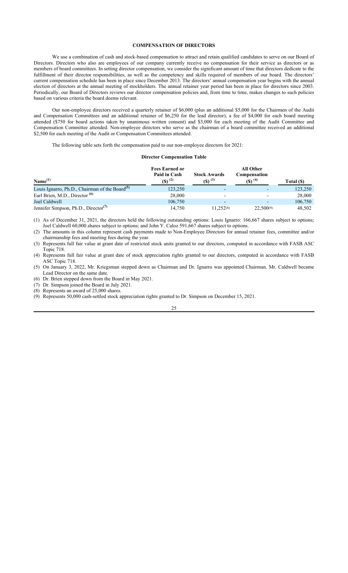## **COMPENSATION OF DIRECTORS**

We use a combination of cash and stock-based compensation to attract and retain qualified candidates to serve on our Board of Directors. Directors who also are employees of our company currently receive no compensation for their service as directors or as members of board committees. In setting director compensation, we consider the significant amount of time that directors dedicate to the fulfillment of their director responsibilities, as well as the competency and skills required of members of our board. The directors' current compensation schedule has been in place since December 2013. The directors' annual compensation year begins with the annual election of directors at the annual meeting of stockholders. The annual retainer year period has been in place for directors since 2003. Periodically, our Board of Directors reviews our director compensation policies and, from time to time, makes changes to such policies based on various criteria the board deems relevant.

Our non-employee directors received a quarterly retainer of \$6,000 (plus an additional \$5,000 for the Chairmen of the Audit and Compensation Committees and an additional retainer of \$6,250 for the lead director), a fee of \$4,000 for each board meeting attended (\$750 for board actions taken by unanimous written consent) and \$3,000 for each meeting of the Audit Committee and Compensation Committee attended. Non-employee directors who serve as the chairman of a board committee received an additional \$2,500 for each meeting of the Audit or Compensation Committees attended.

The following table sets forth the compensation paid to our non-employee directors for 2021:

## **Director Compensation Table**

| Name <sup>(1)</sup>                                        | <b>Fees Earned or</b><br>Paid in Cash<br>$(5)^{(2)}$ | <b>Stock Awards</b><br>$(5)^{(3)}$ | <b>All Other</b><br>Compensation<br>$($ f) $^{(4)}$ | Total (\$) |
|------------------------------------------------------------|------------------------------------------------------|------------------------------------|-----------------------------------------------------|------------|
| Louis Ignarro, Ph.D., Chairman of the Board <sup>(5)</sup> | 123,250                                              |                                    |                                                     | 123,250    |
| Earl Brien, M.D., Director <sup>(6)</sup>                  | 28,000                                               |                                    | $\overline{\phantom{0}}$                            | 28,000     |
| Joel Caldwell                                              | 106,750                                              | -                                  | $\overline{\phantom{0}}$                            | 106,750    |
| Jennifer Simpson, Ph.D., Director <sup>(7)</sup>           | 14,750                                               | 11.252(8)                          | 22.500(9)                                           | 48,502     |

(1) As of December 31, 2021, the directors held the following outstanding options: Louis Ignarro: 166,667 shares subject to options; Joel Caldwell 60,000 shares subject to options; and John Y. Caloz 591,667 shares subject to options.

(2) The amounts in this column represent cash payments made to Non-Employee Directors for annual retainer fees, committee and/or chairmanship fees and meeting fees during the year.

(3) Represents full fair value at grant date of restricted stock units granted to our directors, computed in accordance with FASB ASC Topic 718.

(4) Represents full fair value at grant date of stock appreciation rights granted to our directors, computed in accordance with FASB ASC Topic 718.

(5) On January 3, 2022, Mr. Kriegsman stepped down as Chairman and Dr. Ignarro was appointed Chairman. Mr. Caldwell became Lead Director on the same date.

(6) Dr. Brien stepped down from the Board in May 2021.

(7) Dr. Simpson joined the Board in July 2021. (8) Represents an award of 25,000 shares.

(9) Represents 50,000 cash-settled stock appreciation rights granted to Dr. Simpson on December 15, 2021.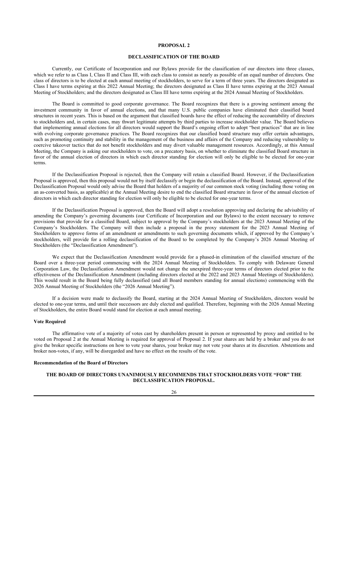#### **DECLASSIFICATION OF THE BOARD**

Currently, our Certificate of Incorporation and our Bylaws provide for the classification of our directors into three classes, which we refer to as Class I, Class II and Class III, with each class to consist as nearly as possible of an equal number of directors. One class of directors is to be elected at each annual meeting of stockholders, to serve for a term of three years. The directors designated as Class I have terms expiring at this 2022 Annual Meeting; the directors designated as Class II have terms expiring at the 2023 Annual Meeting of Stockholders; and the directors designated as Class III have terms expiring at the 2024 Annual Meeting of Stockholders.

The Board is committed to good corporate governance. The Board recognizes that there is a growing sentiment among the investment community in favor of annual elections, and that many U.S. public companies have eliminated their classified board structures in recent years. This is based on the argument that classified boards have the effect of reducing the accountability of directors to stockholders and, in certain cases, may thwart legitimate attempts by third parties to increase stockholder value. The Board believes that implementing annual elections for all directors would support the Board's ongoing effort to adopt "best practices" that are in line with evolving corporate governance practices. The Board recognizes that our classified board structure may offer certain advantages, such as promoting continuity and stability in the management of the business and affairs of the Company and reducing vulnerability to coercive takeover tactics that do not benefit stockholders and may divert valuable management resources. Accordingly, at this Annual Meeting, the Company is asking our stockholders to vote, on a precatory basis, on whether to eliminate the classified Board structure in favor of the annual election of directors in which each director standing for election will only be eligible to be elected for one-year terms.

If the Declassification Proposal is rejected, then the Company will retain a classified Board. However, if the Declassification Proposal is approved, then this proposal would not by itself declassify or begin the declassification of the Board. Instead, approval of the Declassification Proposal would only advise the Board that holders of a majority of our common stock voting (including those voting on an as-converted basis, as applicable) at the Annual Meeting desire to end the classified Board structure in favor of the annual election of directors in which each director standing for election will only be eligible to be elected for one-year terms.

If the Declassification Proposal is approved, then the Board will adopt a resolution approving and declaring the advisability of amending the Company's governing documents (our Certificate of Incorporation and our Bylaws) to the extent necessary to remove provisions that provide for a classified Board, subject to approval by the Company's stockholders at the 2023 Annual Meeting of the Company's Stockholders. The Company will then include a proposal in the proxy statement for the 2023 Annual Meeting of Stockholders to approve forms of an amendment or amendments to such governing documents which, if approved by the Company's stockholders, will provide for a rolling declassification of the Board to be completed by the Company's 2026 Annual Meeting of Stockholders (the "Declassification Amendment").

We expect that the Declassification Amendment would provide for a phased-in elimination of the classified structure of the Board over a three-year period commencing with the 2024 Annual Meeting of Stockholders. To comply with Delaware General Corporation Law, the Declassification Amendment would not change the unexpired three-year terms of directors elected prior to the effectiveness of the Declassification Amendment (including directors elected at the 2022 and 2023 Annual Meetings of Stockholders). This would result in the Board being fully declassified (and all Board members standing for annual elections) commencing with the 2026 Annual Meeting of Stockholders (the "2026 Annual Meeting").

If a decision were made to declassify the Board, starting at the 2024 Annual Meeting of Stockholders, directors would be elected to one-year terms, and until their successors are duly elected and qualified. Therefore, beginning with the 2026 Annual Meeting of Stockholders, the entire Board would stand for election at each annual meeting.

#### **Vote Required**

The affirmative vote of a majority of votes cast by shareholders present in person or represented by proxy and entitled to be voted on Proposal 2 at the Annual Meeting is required for approval of Proposal 2. If your shares are held by a broker and you do not give the broker specific instructions on how to vote your shares, your broker may not vote your shares at its discretion. Abstentions and broker non-votes, if any, will be disregarded and have no effect on the results of the vote.

## **Recommendation of the Board of Directors**

## **THE BOARD OF DIRECTORS UNANIMOUSLY RECOMMENDS THAT STOCKHOLDERS VOTE "FOR" THE DECLASSIFICATION PROPOSAL.**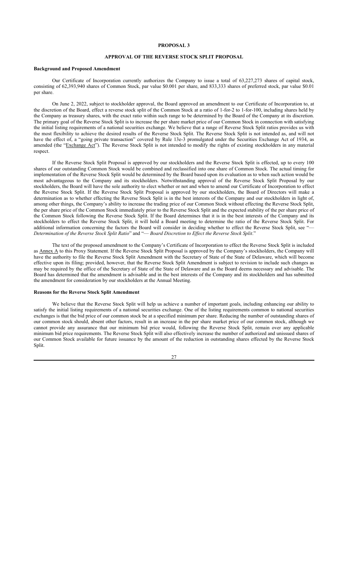## **APPROVAL OF THE REVERSE STOCK SPLIT PROPOSAL**

#### **Background and Proposed Amendment**

Our Certificate of Incorporation currently authorizes the Company to issue a total of 63,227,273 shares of capital stock, consisting of 62,393,940 shares of Common Stock, par value \$0.001 per share, and 833,333 shares of preferred stock, par value \$0.01 per share.

On June 2, 2022, subject to stockholder approval, the Board approved an amendment to our Certificate of Incorporation to, at the discretion of the Board, effect a reverse stock split of the Common Stock at a ratio of 1-for-2 to 1-for-100, including shares held by the Company as treasury shares, with the exact ratio within such range to be determined by the Board of the Company at its discretion. The primary goal of the Reverse Stock Split is to increase the per share market price of our Common Stock in connection with satisfying the initial listing requirements of a national securities exchange. We believe that a range of Reverse Stock Split ratios provides us with the most flexibility to achieve the desired results of the Reverse Stock Split. The Reverse Stock Split is not intended as, and will not have the effect of, a "going private transaction" covered by Rule 13e-3 promulgated under the Securities Exchange Act of 1934, as amended (the "Exchange Act"). The Reverse Stock Split is not intended to modify the rights of existing stockholders in any material respect.

If the Reverse Stock Split Proposal is approved by our stockholders and the Reverse Stock Split is effected, up to every 100 shares of our outstanding Common Stock would be combined and reclassified into one share of Common Stock. The actual timing for implementation of the Reverse Stock Split would be determined by the Board based upon its evaluation as to when such action would be most advantageous to the Company and its stockholders. Notwithstanding approval of the Reverse Stock Split Proposal by our stockholders, the Board will have the sole authority to elect whether or not and when to amend our Certificate of Incorporation to effect the Reverse Stock Split. If the Reverse Stock Split Proposal is approved by our stockholders, the Board of Directors will make a determination as to whether effecting the Reverse Stock Split is in the best interests of the Company and our stockholders in light of, among other things, the Company's ability to increase the trading price of our Common Stock without effecting the Reverse Stock Split, the per share price of the Common Stock immediately prior to the Reverse Stock Split and the expected stability of the per share price of the Common Stock following the Reverse Stock Split. If the Board determines that it is in the best interests of the Company and its stockholders to effect the Reverse Stock Split, it will hold a Board meeting to determine the ratio of the Reverse Stock Split. For additional information concerning the factors the Board will consider in deciding whether to effect the Reverse Stock Split, see " *Determination of the Reverse Stock Split Ratio*" and "— *Board Discretion to Effect the Reverse Stock Split*."

The text of the proposed amendment to the Company's Certificate of Incorporation to effect the Reverse Stock Split is included as Annex A to this Proxy Statement. If the Reverse Stock Split Proposal is approved by the Company's stockholders, the Company will have the authority to file the Reverse Stock Split Amendment with the Secretary of State of the State of Delaware, which will become effective upon its filing; provided, however, that the Reverse Stock Split Amendment is subject to revision to include such changes as may be required by the office of the Secretary of State of the State of Delaware and as the Board deems necessary and advisable. The Board has determined that the amendment is advisable and in the best interests of the Company and its stockholders and has submitted the amendment for consideration by our stockholders at the Annual Meeting.

#### **Reasons for the Reverse Stock Split Amendment**

We believe that the Reverse Stock Split will help us achieve a number of important goals, including enhancing our ability to satisfy the initial listing requirements of a national securities exchange. One of the listing requirements common to national securities exchanges is that the bid price of our common stock be at a specified minimum per share. Reducing the number of outstanding shares of our common stock should, absent other factors, result in an increase in the per share market price of our common stock, although we cannot provide any assurance that our minimum bid price would, following the Reverse Stock Split, remain over any applicable minimum bid price requirements. The Reverse Stock Split will also effectively increase the number of authorized and unissued shares of our Common Stock available for future issuance by the amount of the reduction in outstanding shares effected by the Reverse Stock Split.

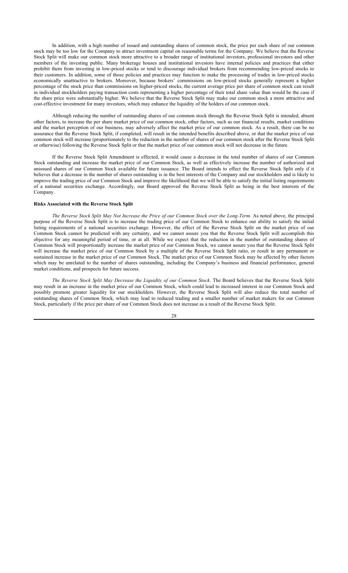In addition, with a high number of issued and outstanding shares of common stock, the price per each share of our common stock may be too low for the Company to attract investment capital on reasonable terms for the Company. We believe that the Reverse Stock Split will make our common stock more attractive to a broader range of institutional investors, professional investors and other members of the investing public. Many brokerage houses and institutional investors have internal policies and practices that either prohibit them from investing in low-priced stocks or tend to discourage individual brokers from recommending low-priced stocks to their customers. In addition, some of those policies and practices may function to make the processing of trades in low-priced stocks economically unattractive to brokers. Moreover, because brokers' commissions on low-priced stocks generally represent a higher percentage of the stock price than commissions on higher-priced stocks, the current average price per share of common stock can result in individual stockholders paying transaction costs representing a higher percentage of their total share value than would be the case if the share price were substantially higher. We believe that the Reverse Stock Split may make our common stock a more attractive and cost-effective investment for many investors, which may enhance the liquidity of the holders of our common stock.

Although reducing the number of outstanding shares of our common stock through the Reverse Stock Split is intended, absent other factors, to increase the per share market price of our common stock, other factors, such as our financial results, market conditions and the market perception of our business, may adversely affect the market price of our common stock. As a result, there can be no assurance that the Reverse Stock Split, if completed, will result in the intended benefits described above, or that the market price of our common stock will increase (proportionately to the reduction in the number of shares of our common stock after the Reverse Stock Split or otherwise) following the Reverse Stock Split or that the market price of our common stock will not decrease in the future.

If the Reverse Stock Split Amendment is effected, it would cause a decrease in the total number of shares of our Common Stock outstanding and increase the market price of our Common Stock, as well as effectively increase the number of authorized and unissued shares of our Common Stock available for future issuance. The Board intends to effect the Reverse Stock Split only if it believes that a decrease in the number of shares outstanding is in the best interests of the Company and our stockholders and is likely to improve the trading price of our Common Stock and improve the likelihood that we will be able to satisfy the initial listing requirements of a national securities exchange. Accordingly, our Board approved the Reverse Stock Split as being in the best interests of the Company.

## **Risks Associated with the Reverse Stock Split**

*The Reverse Stock Split May Not Increase the Price of our Common Stock over the Long-Term*. As noted above, the principal purpose of the Reverse Stock Split is to increase the trading price of our Common Stock to enhance our ability to satisfy the initial listing requirements of a national securities exchange. However, the effect of the Reverse Stock Split on the market price of our Common Stock cannot be predicted with any certainty, and we cannot assure you that the Reverse Stock Split will accomplish this objective for any meaningful period of time, or at all. While we expect that the reduction in the number of outstanding shares of Common Stock will proportionally increase the market price of our Common Stock, we cannot assure you that the Reverse Stock Split will increase the market price of our Common Stock by a multiple of the Reverse Stock Split ratio, or result in any permanent or sustained increase in the market price of our Common Stock. The market price of our Common Stock may be affected by other factors which may be unrelated to the number of shares outstanding, including the Company's business and financial performance, general market conditions, and prospects for future success.

*The Reverse Stock Split May Decrease the Liquidity of our Common Stock*. The Board believes that the Reverse Stock Split may result in an increase in the market price of our Common Stock, which could lead to increased interest in our Common Stock and possibly promote greater liquidity for our stockholders. However, the Reverse Stock Split will also reduce the total number of outstanding shares of Common Stock, which may lead to reduced trading and a smaller number of market makers for our Common Stock, particularly if the price per share of our Common Stock does not increase as a result of the Reverse Stock Split.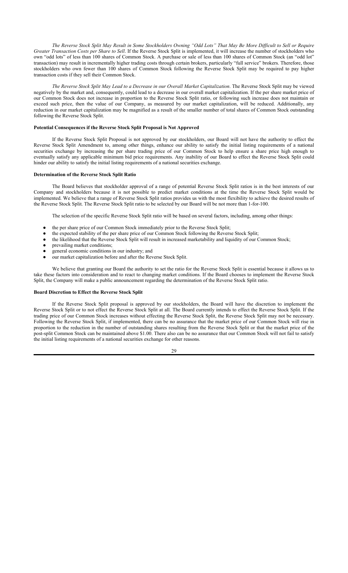*The Reverse Stock Split May Result in Some Stockholders Owning "Odd Lots" That May Be More Difficult to Sell or Require Greater Transaction Costs per Share to Sell*. If the Reverse Stock Split is implemented, it will increase the number of stockholders who own "odd lots" of less than 100 shares of Common Stock. A purchase or sale of less than 100 shares of Common Stock (an "odd lot" transaction) may result in incrementally higher trading costs through certain brokers, particularly "full service" brokers. Therefore, those stockholders who own fewer than 100 shares of Common Stock following the Reverse Stock Split may be required to pay higher transaction costs if they sell their Common Stock.

*The Reverse Stock Split May Lead to a Decrease in our Overall Market Capitalization*. The Reverse Stock Split may be viewed negatively by the market and, consequently, could lead to a decrease in our overall market capitalization. If the per share market price of our Common Stock does not increase in proportion to the Reverse Stock Split ratio, or following such increase does not maintain or exceed such price, then the value of our Company, as measured by our market capitalization, will be reduced. Additionally, any reduction in our market capitalization may be magnified as a result of the smaller number of total shares of Common Stock outstanding following the Reverse Stock Split.

#### **Potential Consequences if the Reverse Stock Split Proposal is Not Approved**

If the Reverse Stock Split Proposal is not approved by our stockholders, our Board will not have the authority to effect the Reverse Stock Split Amendment to, among other things, enhance our ability to satisfy the initial listing requirements of a national securities exchange by increasing the per share trading price of our Common Stock to help ensure a share price high enough to eventually satisfy any applicable minimum bid price requirements. Any inability of our Board to effect the Reverse Stock Split could hinder our ability to satisfy the initial listing requirements of a national securities exchange.

#### **Determination of the Reverse Stock Split Ratio**

The Board believes that stockholder approval of a range of potential Reverse Stock Split ratios is in the best interests of our Company and stockholders because it is not possible to predict market conditions at the time the Reverse Stock Split would be implemented. We believe that a range of Reverse Stock Split ratios provides us with the most flexibility to achieve the desired results of the Reverse Stock Split. The Reverse Stock Split ratio to be selected by our Board will be not more than 1-for-100.

The selection of the specific Reverse Stock Split ratio will be based on several factors, including, among other things:

- the per share price of our Common Stock immediately prior to the Reverse Stock Split;
- the expected stability of the per share price of our Common Stock following the Reverse Stock Split;
- the likelihood that the Reverse Stock Split will result in increased marketability and liquidity of our Common Stock;
- prevailing market conditions:
- general economic conditions in our industry; and
- our market capitalization before and after the Reverse Stock Split.

We believe that granting our Board the authority to set the ratio for the Reverse Stock Split is essential because it allows us to take these factors into consideration and to react to changing market conditions. If the Board chooses to implement the Reverse Stock Split, the Company will make a public announcement regarding the determination of the Reverse Stock Split ratio.

#### **Board Discretion to Effect the Reverse Stock Split**

If the Reverse Stock Split proposal is approved by our stockholders, the Board will have the discretion to implement the Reverse Stock Split or to not effect the Reverse Stock Split at all. The Board currently intends to effect the Reverse Stock Split. If the trading price of our Common Stock increases without effecting the Reverse Stock Split, the Reverse Stock Split may not be necessary. Following the Reverse Stock Split, if implemented, there can be no assurance that the market price of our Common Stock will rise in proportion to the reduction in the number of outstanding shares resulting from the Reverse Stock Split or that the market price of the post-split Common Stock can be maintained above \$1.00. There also can be no assurance that our Common Stock will not fail to satisfy the initial listing requirements of a national securities exchange for other reasons.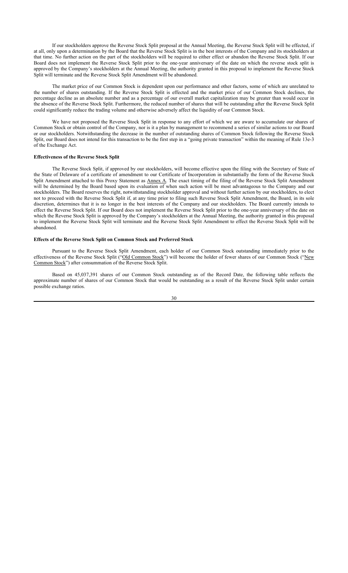If our stockholders approve the Reverse Stock Split proposal at the Annual Meeting, the Reverse Stock Split will be effected, if at all, only upon a determination by the Board that the Reverse Stock Split is in the best interests of the Company and its stockholders at that time. No further action on the part of the stockholders will be required to either effect or abandon the Reverse Stock Split. If our Board does not implement the Reverse Stock Split prior to the one-year anniversary of the date on which the reverse stock split is approved by the Company's stockholders at the Annual Meeting, the authority granted in this proposal to implement the Reverse Stock Split will terminate and the Reverse Stock Split Amendment will be abandoned.

The market price of our Common Stock is dependent upon our performance and other factors, some of which are unrelated to the number of shares outstanding. If the Reverse Stock Split is effected and the market price of our Common Stock declines, the percentage decline as an absolute number and as a percentage of our overall market capitalization may be greater than would occur in the absence of the Reverse Stock Split. Furthermore, the reduced number of shares that will be outstanding after the Reverse Stock Split could significantly reduce the trading volume and otherwise adversely affect the liquidity of our Common Stock.

We have not proposed the Reverse Stock Split in response to any effort of which we are aware to accumulate our shares of Common Stock or obtain control of the Company, nor is it a plan by management to recommend a series of similar actions to our Board or our stockholders. Notwithstanding the decrease in the number of outstanding shares of Common Stock following the Reverse Stock Split, our Board does not intend for this transaction to be the first step in a "going private transaction" within the meaning of Rule 13e-3 of the Exchange Act.

## **Effectiveness of the Reverse Stock Split**

The Reverse Stock Split, if approved by our stockholders, will become effective upon the filing with the Secretary of State of the State of Delaware of a certificate of amendment to our Certificate of Incorporation in substantially the form of the Reverse Stock Split Amendment attached to this Proxy Statement as **Annex A**. The exact timing of the filing of the Reverse Stock Split Amendment will be determined by the Board based upon its evaluation of when such action will be most advantageous to the Company and our stockholders. The Board reserves the right, notwithstanding stockholder approval and without further action by our stockholders, to elect not to proceed with the Reverse Stock Split if, at any time prior to filing such Reverse Stock Split Amendment, the Board, in its sole discretion, determines that it is no longer in the best interests of the Company and our stockholders. The Board currently intends to effect the Reverse Stock Split. If our Board does not implement the Reverse Stock Split prior to the one-year anniversary of the date on which the Reverse Stock Split is approved by the Company's stockholders at the Annual Meeting, the authority granted in this proposal to implement the Reverse Stock Split will terminate and the Reverse Stock Split Amendment to effect the Reverse Stock Split will be abandoned.

#### **Effects of the Reverse Stock Split on Common Stock and Preferred Stock**

Pursuant to the Reverse Stock Split Amendment, each holder of our Common Stock outstanding immediately prior to the effectiveness of the Reverse Stock Split ("Old Common Stock") will become the holder of fewer shares of our Common Stock ("New Common Stock") after consummation of the Reverse Stock Split.

Based on 45,037,391 shares of our Common Stock outstanding as of the Record Date, the following table reflects the approximate number of shares of our Common Stock that would be outstanding as a result of the Reverse Stock Split under certain possible exchange ratios.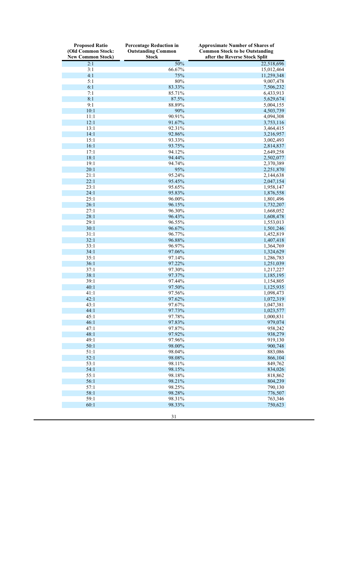| <b>Proposed Ratio</b><br>(Old Common Stock:<br><b>New Common Stock)</b> | <b>Percentage Reduction in</b><br><b>Outstanding Common</b><br><b>Stock</b> | <b>Approximate Number of Shares of</b><br><b>Common Stock to be Outstanding</b><br>after the Reverse Stock Split |
|-------------------------------------------------------------------------|-----------------------------------------------------------------------------|------------------------------------------------------------------------------------------------------------------|
| 2:1                                                                     | 50%                                                                         | 22,518,696                                                                                                       |
| 3:1                                                                     | 66.67%                                                                      | 15,012,464                                                                                                       |
| 4:1                                                                     | 75%                                                                         | 11,259,348                                                                                                       |
| 5:1                                                                     | $80\%$                                                                      | 9,007,478                                                                                                        |
| 6:1                                                                     | 83.33%                                                                      | 7,506,232                                                                                                        |
| 7:1                                                                     | 85.71%                                                                      | 6,433,913                                                                                                        |
| 8:1                                                                     | 87.5%                                                                       | 5,629,674                                                                                                        |
| 9:1                                                                     | 88.89%                                                                      | 5,004,155                                                                                                        |
| 10:1                                                                    | 90%                                                                         | 4,503,739                                                                                                        |
| 11:1                                                                    | 90.91%                                                                      | 4,094,308                                                                                                        |
| 12:1                                                                    | 91.67%                                                                      | 3,753,116                                                                                                        |
| 13:1                                                                    | 92.31%                                                                      | 3,464,415                                                                                                        |
| 14:1                                                                    | 92.86%                                                                      | 3,216,957                                                                                                        |
| 15:1<br>16:1                                                            | 93.33%<br>93.75%                                                            | 3,002,493                                                                                                        |
| 17:1                                                                    | 94.12%                                                                      | 2,814,837<br>2,649,258                                                                                           |
| 18:1                                                                    | 94.44%                                                                      | 2,502,077                                                                                                        |
| 19:1                                                                    | 94.74%                                                                      | 2,370,389                                                                                                        |
| 20:1                                                                    | 95%                                                                         | 2,251,870                                                                                                        |
| 21:1                                                                    | 95.24%                                                                      | 2,144,638                                                                                                        |
| 22:1                                                                    | 95.45%                                                                      | 2,047,154                                                                                                        |
| 23:1                                                                    | 95.65%                                                                      | 1,958,147                                                                                                        |
| 24:1                                                                    | 95.83%                                                                      | 1,876,558                                                                                                        |
| 25:1                                                                    | 96.00%                                                                      | 1,801,496                                                                                                        |
| 26:1                                                                    | 96.15%                                                                      | 1,732,207                                                                                                        |
| 27:1                                                                    | 96.30%                                                                      | 1,668,052                                                                                                        |
| 28:1                                                                    | 96.43%                                                                      | 1,608,478                                                                                                        |
| 29:1                                                                    | 96.55%                                                                      | 1,553,013                                                                                                        |
| 30:1                                                                    | 96.67%                                                                      | 1,501,246                                                                                                        |
| 31:1                                                                    | 96.77%                                                                      | 1,452,819                                                                                                        |
| 32:1                                                                    | 96.88%                                                                      | 1,407,418                                                                                                        |
| 33:1                                                                    | 96.97%                                                                      | 1,364,769                                                                                                        |
| 34:1                                                                    | 97.06%                                                                      | 1,324,629                                                                                                        |
| 35:1                                                                    | 97.14%                                                                      | 1,286,783                                                                                                        |
| 36:1                                                                    | 97.22%                                                                      | 1,251,039                                                                                                        |
| 37:1                                                                    | 97.30%                                                                      | 1,217,227                                                                                                        |
| 38:1                                                                    | 97.37%                                                                      | 1,185,195                                                                                                        |
| 39:1                                                                    | 97.44%                                                                      | 1,154,805                                                                                                        |
| 40:1                                                                    | 97.50%                                                                      | 1,125,935                                                                                                        |
| 41:1<br>42:1                                                            | 97.56%<br>97.62%                                                            | 1,098,473<br>1,072,319                                                                                           |
| 43:1                                                                    |                                                                             |                                                                                                                  |
| 44:1                                                                    | 97.67%<br>97.73%                                                            | 1,047,381<br>1,023,577                                                                                           |
| 45:1                                                                    | 97.78%                                                                      | 1,000,831                                                                                                        |
| 46:1                                                                    | 97.83%                                                                      | 979,074                                                                                                          |
| 47:1                                                                    | 97.87%                                                                      | 958,242                                                                                                          |
| 48:1                                                                    | 97.92%                                                                      | 938,279                                                                                                          |
| 49:1                                                                    | 97.96%                                                                      | 919,130                                                                                                          |
| 50:1                                                                    | 98.00%                                                                      | 900,748                                                                                                          |
| 51:1                                                                    | 98.04%                                                                      | 883,086                                                                                                          |
| 52:1                                                                    | 98.08%                                                                      | 866,104                                                                                                          |
| 53:1                                                                    | 98.11%                                                                      | 849,762                                                                                                          |
| 54:1                                                                    | 98.15%                                                                      | 834,026                                                                                                          |
| 55:1                                                                    | 98.18%                                                                      | 818,862                                                                                                          |
| 56:1                                                                    | 98.21%                                                                      | 804,239                                                                                                          |
| 57:1                                                                    | 98.25%                                                                      | 790,130                                                                                                          |
| 58:1                                                                    | 98.28%                                                                      | 776,507                                                                                                          |
| 59:1                                                                    | 98.31%                                                                      | 763,346                                                                                                          |
| 60:1                                                                    | 98.33%                                                                      | 750,623                                                                                                          |
|                                                                         | 31                                                                          |                                                                                                                  |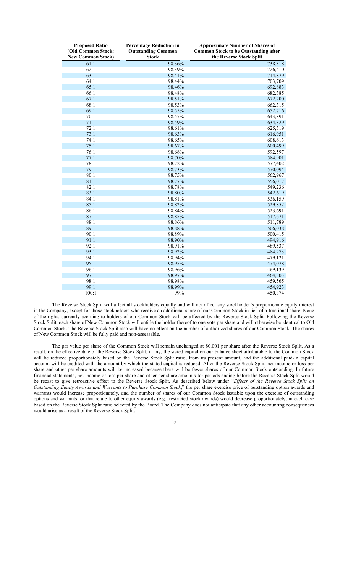| <b>Proposed Ratio</b><br>(Old Common Stock:<br><b>New Common Stock)</b> | <b>Percentage Reduction in</b><br><b>Outstanding Common</b><br><b>Stock</b> | <b>Approximate Number of Shares of</b><br><b>Common Stock to be Outstanding after</b><br>the Reverse Stock Split |
|-------------------------------------------------------------------------|-----------------------------------------------------------------------------|------------------------------------------------------------------------------------------------------------------|
| 61:1                                                                    | 98.36%                                                                      | 738,318                                                                                                          |
| 62:1                                                                    | 98.39%                                                                      | 726,410                                                                                                          |
| 63:1                                                                    | 98.41%                                                                      | 714,879                                                                                                          |
| 64:1                                                                    | 98.44%                                                                      | 703,709                                                                                                          |
| 65:1                                                                    | 98.46%                                                                      | 692,883                                                                                                          |
| 66:1                                                                    | 98.48%                                                                      | 682,385                                                                                                          |
| 67:1                                                                    | 98.51%                                                                      | 672,200                                                                                                          |
| 68:1                                                                    | 98.53%                                                                      | 662,315                                                                                                          |
| 69:1                                                                    | 98.55%                                                                      | 652,716                                                                                                          |
| 70:1                                                                    | 98.57%                                                                      | 643,391                                                                                                          |
| 71:1                                                                    | 98.59%                                                                      | 634,329                                                                                                          |
| 72:1                                                                    | 98.61%                                                                      | 625,519                                                                                                          |
| 73:1                                                                    | 98.63%                                                                      | 616,951                                                                                                          |
| 74:1                                                                    | 98.65%                                                                      | 608,613                                                                                                          |
| 75:1                                                                    | 98.67%                                                                      | 600,499                                                                                                          |
| 76:1                                                                    | 98.68%                                                                      | 592,597                                                                                                          |
| 77:1                                                                    | 98.70%                                                                      | 584,901                                                                                                          |
| 78:1                                                                    | 98.72%                                                                      | 577,402                                                                                                          |
| 79:1                                                                    | 98.73%                                                                      | 570,094                                                                                                          |
| 80:1                                                                    | 98.75%                                                                      | 562,967                                                                                                          |
| 81:1                                                                    | 98.77%                                                                      | 556,017                                                                                                          |
| 82:1                                                                    | 98.78%                                                                      | 549,236                                                                                                          |
| 83:1                                                                    | 98.80%                                                                      | 542,619                                                                                                          |
| 84:1                                                                    | 98.81%                                                                      | 536,159                                                                                                          |
| 85:1                                                                    | 98.82%                                                                      | 529,852                                                                                                          |
| 86:1                                                                    | 98.84%                                                                      | 523,691                                                                                                          |
| 87:1                                                                    | 98.85%                                                                      | 517,671                                                                                                          |
| 88:1                                                                    | 98.86%                                                                      | 511,789                                                                                                          |
| 89:1                                                                    | 98.88%                                                                      | 506,038                                                                                                          |
| 90:1                                                                    | 98.89%                                                                      | 500,415                                                                                                          |
| 91:1                                                                    | 98.90%                                                                      | 494,916                                                                                                          |
| 92:1                                                                    | 98.91%                                                                      | 489,537                                                                                                          |
| 93:1                                                                    | 98.92%                                                                      | 484,273                                                                                                          |
| 94:1                                                                    | 98.94%                                                                      | 479,121                                                                                                          |
| 95:1                                                                    | 98.95%                                                                      | 474,078                                                                                                          |
| 96:1                                                                    | 98.96%                                                                      | 469,139                                                                                                          |
| 97:1                                                                    | 98.97%                                                                      | 464,303                                                                                                          |
| 98:1                                                                    | 98.98%                                                                      | 459,565                                                                                                          |
| 99:1                                                                    | 98.99%                                                                      | 454,923                                                                                                          |
| 100:1                                                                   | 99%                                                                         | 450,374                                                                                                          |

The Reverse Stock Split will affect all stockholders equally and will not affect any stockholder's proportionate equity interest in the Company, except for those stockholders who receive an additional share of our Common Stock in lieu of a fractional share. None of the rights currently accruing to holders of our Common Stock will be affected by the Reverse Stock Split. Following the Reverse Stock Split, each share of New Common Stock will entitle the holder thereof to one vote per share and will otherwise be identical to Old Common Stock. The Reverse Stock Split also will have no effect on the number of authorized shares of our Common Stock. The shares of New Common Stock will be fully paid and non-assessable.

The par value per share of the Common Stock will remain unchanged at \$0.001 per share after the Reverse Stock Split. As a result, on the effective date of the Reverse Stock Split, if any, the stated capital on our balance sheet attributable to the Common Stock will be reduced proportionately based on the Reverse Stock Split ratio, from its present amount, and the additional paid-in capital account will be credited with the amount by which the stated capital is reduced. After the Reverse Stock Split, net income or loss per share and other per share amounts will be increased because there will be fewer shares of our Common Stock outstanding. In future financial statements, net income or loss per share and other per share amounts for periods ending before the Reverse Stock Split would be recast to give retroactive effect to the Reverse Stock Split. As described below under "*Effects of the Reverse Stock Split on Outstanding Equity Awards and Warrants to Purchase Common Stock*," the per share exercise price of outstanding option awards and warrants would increase proportionately, and the number of shares of our Common Stock issuable upon the exercise of outstanding options and warrants, or that relate to other equity awards (e.g., restricted stock awards) would decrease proportionately, in each case based on the Reverse Stock Split ratio selected by the Board. The Company does not anticipate that any other accounting consequences would arise as a result of the Reverse Stock Split.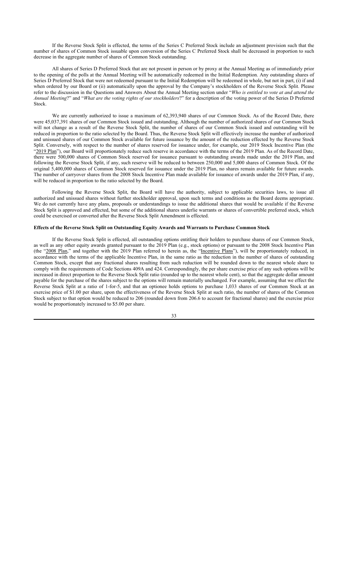If the Reverse Stock Split is effected, the terms of the Series C Preferred Stock include an adjustment provision such that the number of shares of Common Stock issuable upon conversion of the Series C Preferred Stock shall be decreased in proportion to such decrease in the aggregate number of shares of Common Stock outstanding.

All shares of Series D Preferred Stock that are not present in person or by proxy at the Annual Meeting as of immediately prior to the opening of the polls at the Annual Meeting will be automatically redeemed in the Initial Redemption. Any outstanding shares of Series D Preferred Stock that were not redeemed pursuant to the Initial Redemption will be redeemed in whole, but not in part, (i) if and when ordered by our Board or (ii) automatically upon the approval by the Company's stockholders of the Reverse Stock Split. Please refer to the discussion in the Questions and Answers About the Annual Meeting section under "*Who is entitled to vote at and attend the Annual Meeting*?" and "*What are the voting rights of our stockholders*?" for a description of the voting power of the Series D Preferred Stock.

We are currently authorized to issue a maximum of 62,393,940 shares of our Common Stock. As of the Record Date, there were 45,037,391 shares of our Common Stock issued and outstanding. Although the number of authorized shares of our Common Stock will not change as a result of the Reverse Stock Split, the number of shares of our Common Stock issued and outstanding will be reduced in proportion to the ratio selected by the Board. Thus, the Reverse Stock Split will effectively increase the number of authorized and unissued shares of our Common Stock available for future issuance by the amount of the reduction effected by the Reverse Stock Split. Conversely, with respect to the number of shares reserved for issuance under, for example, our 2019 Stock Incentive Plan (the "2019 Plan"), our Board will proportionately reduce such reserve in accordance with the terms of the 2019 Plan. As of the Record Date, there were 500,000 shares of Common Stock reserved for issuance pursuant to outstanding awards made under the 2019 Plan, and following the Reverse Stock Split, if any, such reserve will be reduced to between 250,000 and 5,000 shares of Common Stock. Of the original 5,400,000 shares of Common Stock reserved for issuance under the 2019 Plan, no shares remain available for future awards. The number of carryover shares from the 2008 Stock Incentive Plan made available for issuance of awards under the 2019 Plan, if any, will be reduced in proportion to the ratio selected by the Board.

Following the Reverse Stock Split, the Board will have the authority, subject to applicable securities laws, to issue all authorized and unissued shares without further stockholder approval, upon such terms and conditions as the Board deems appropriate. We do not currently have any plans, proposals or understandings to issue the additional shares that would be available if the Reverse Stock Split is approved and effected, but some of the additional shares underlie warrants or shares of convertible preferred stock, which could be exercised or converted after the Reverse Stock Split Amendment is effected.

## **Effects of the Reverse Stock Split on Outstanding Equity Awards and Warrants to Purchase Common Stock**

If the Reverse Stock Split is effected, all outstanding options entitling their holders to purchase shares of our Common Stock, as well as any other equity awards granted pursuant to the 2019 Plan (e.g., stock options) or pursuant to the 2008 Stock Incentive Plan (the "2008 Plan," and together with the 2019 Plan referred to herein as, the "Incentive Plans"), will be proportionately reduced, in accordance with the terms of the applicable Incentive Plan, in the same ratio as the reduction in the number of shares of outstanding Common Stock, except that any fractional shares resulting from such reduction will be rounded down to the nearest whole share to comply with the requirements of Code Sections 409A and 424. Correspondingly, the per share exercise price of any such options will be increased in direct proportion to the Reverse Stock Split ratio (rounded up to the nearest whole cent), so that the aggregate dollar amount payable for the purchase of the shares subject to the options will remain materially unchanged. For example, assuming that we effect the Reverse Stock Split at a ratio of 1-for-5, and that an optionee holds options to purchase 1,033 shares of our Common Stock at an exercise price of \$1.00 per share, upon the effectiveness of the Reverse Stock Split at such ratio, the number of shares of the Common Stock subject to that option would be reduced to 206 (rounded down from 206.6 to account for fractional shares) and the exercise price would be proportionately increased to \$5.00 per share.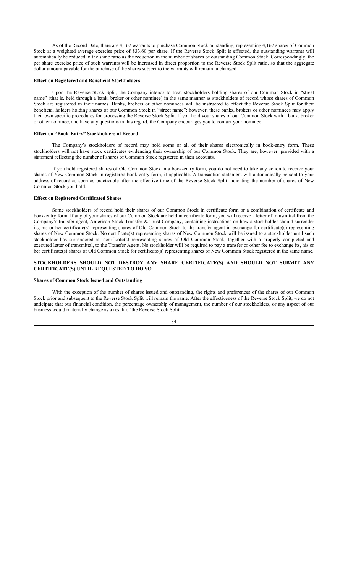As of the Record Date, there are 4,167 warrants to purchase Common Stock outstanding, representing 4,167 shares of Common Stock at a weighted average exercise price of \$33.60 per share. If the Reverse Stock Split is effected, the outstanding warrants will automatically be reduced in the same ratio as the reduction in the number of shares of outstanding Common Stock. Correspondingly, the per share exercise price of such warrants will be increased in direct proportion to the Reverse Stock Split ratio, so that the aggregate dollar amount payable for the purchase of the shares subject to the warrants will remain unchanged.

#### **Effect on Registered and Beneficial Stockholders**

Upon the Reverse Stock Split, the Company intends to treat stockholders holding shares of our Common Stock in "street name" (that is, held through a bank, broker or other nominee) in the same manner as stockholders of record whose shares of Common Stock are registered in their names. Banks, brokers or other nominees will be instructed to effect the Reverse Stock Split for their beneficial holders holding shares of our Common Stock in "street name"; however, these banks, brokers or other nominees may apply their own specific procedures for processing the Reverse Stock Split. If you hold your shares of our Common Stock with a bank, broker or other nominee, and have any questions in this regard, the Company encourages you to contact your nominee.

## **Effect on "Book-Entry" Stockholders of Record**

The Company's stockholders of record may hold some or all of their shares electronically in book-entry form. These stockholders will not have stock certificates evidencing their ownership of our Common Stock. They are, however, provided with a statement reflecting the number of shares of Common Stock registered in their accounts.

If you hold registered shares of Old Common Stock in a book-entry form, you do not need to take any action to receive your shares of New Common Stock in registered book-entry form, if applicable. A transaction statement will automatically be sent to your address of record as soon as practicable after the effective time of the Reverse Stock Split indicating the number of shares of New Common Stock you hold.

#### **Effect on Registered Certificated Shares**

Some stockholders of record hold their shares of our Common Stock in certificate form or a combination of certificate and book-entry form. If any of your shares of our Common Stock are held in certificate form, you will receive a letter of transmittal from the Company's transfer agent, American Stock Transfer & Trust Company, containing instructions on how a stockholder should surrender its, his or her certificate(s) representing shares of Old Common Stock to the transfer agent in exchange for certificate(s) representing shares of New Common Stock. No certificate(s) representing shares of New Common Stock will be issued to a stockholder until such stockholder has surrendered all certificate(s) representing shares of Old Common Stock, together with a properly completed and executed letter of transmittal, to the Transfer Agent. No stockholder will be required to pay a transfer or other fee to exchange its, his or her certificate(s) shares of Old Common Stock for certificate(s) representing shares of New Common Stock registered in the same name.

#### **STOCKHOLDERS SHOULD NOT DESTROY ANY SHARE CERTIFICATE(S) AND SHOULD NOT SUBMIT ANY CERTIFICATE(S) UNTIL REQUESTED TO DO SO.**

#### **Shares of Common Stock Issued and Outstanding**

With the exception of the number of shares issued and outstanding, the rights and preferences of the shares of our Common Stock prior and subsequent to the Reverse Stock Split will remain the same. After the effectiveness of the Reverse Stock Split, we do not anticipate that our financial condition, the percentage ownership of management, the number of our stockholders, or any aspect of our business would materially change as a result of the Reverse Stock Split.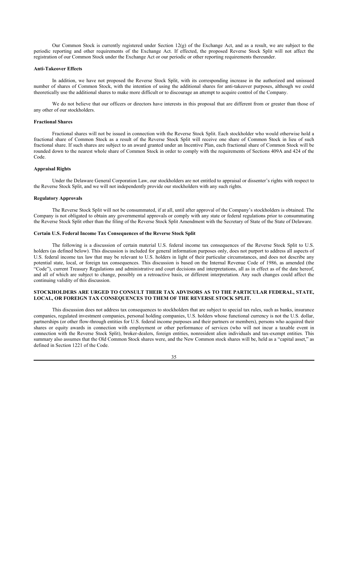Our Common Stock is currently registered under Section 12(g) of the Exchange Act, and as a result, we are subject to the periodic reporting and other requirements of the Exchange Act. If effected, the proposed Reverse Stock Split will not affect the registration of our Common Stock under the Exchange Act or our periodic or other reporting requirements thereunder.

#### **Anti-Takeover Effects**

In addition, we have not proposed the Reverse Stock Split, with its corresponding increase in the authorized and unissued number of shares of Common Stock, with the intention of using the additional shares for anti-takeover purposes, although we could theoretically use the additional shares to make more difficult or to discourage an attempt to acquire control of the Company.

We do not believe that our officers or directors have interests in this proposal that are different from or greater than those of any other of our stockholders.

## **Fractional Shares**

Fractional shares will not be issued in connection with the Reverse Stock Split. Each stockholder who would otherwise hold a fractional share of Common Stock as a result of the Reverse Stock Split will receive one share of Common Stock in lieu of such fractional share. If such shares are subject to an award granted under an Incentive Plan, each fractional share of Common Stock will be rounded down to the nearest whole share of Common Stock in order to comply with the requirements of Sections 409A and 424 of the Code.

## **Appraisal Rights**

Under the Delaware General Corporation Law, our stockholders are not entitled to appraisal or dissenter's rights with respect to the Reverse Stock Split, and we will not independently provide our stockholders with any such rights.

#### **Regulatory Approvals**

The Reverse Stock Split will not be consummated, if at all, until after approval of the Company's stockholders is obtained. The Company is not obligated to obtain any governmental approvals or comply with any state or federal regulations prior to consummating the Reverse Stock Split other than the filing of the Reverse Stock Split Amendment with the Secretary of State of the State of Delaware.

#### **Certain U.S. Federal Income Tax Consequences of the Reverse Stock Split**

The following is a discussion of certain material U.S. federal income tax consequences of the Reverse Stock Split to U.S. holders (as defined below). This discussion is included for general information purposes only, does not purport to address all aspects of U.S. federal income tax law that may be relevant to U.S. holders in light of their particular circumstances, and does not describe any potential state, local, or foreign tax consequences. This discussion is based on the Internal Revenue Code of 1986, as amended (the "Code"), current Treasury Regulations and administrative and court decisions and interpretations, all as in effect as of the date hereof, and all of which are subject to change, possibly on a retroactive basis, or different interpretation. Any such changes could affect the continuing validity of this discussion.

## **STOCKHOLDERS ARE URGED TO CONSULT THEIR TAX ADVISORS AS TO THE PARTICULAR FEDERAL, STATE, LOCAL, OR FOREIGN TAX CONSEQUENCES TO THEM OF THE REVERSE STOCK SPLIT.**

This discussion does not address tax consequences to stockholders that are subject to special tax rules, such as banks, insurance companies, regulated investment companies, personal holding companies, U.S. holders whose functional currency is not the U.S. dollar, partnerships (or other flow-through entities for U.S. federal income purposes and their partners or members), persons who acquired their shares or equity awards in connection with employment or other performance of services (who will not incur a taxable event in connection with the Reverse Stock Split), broker-dealers, foreign entities, nonresident alien individuals and tax-exempt entities. This summary also assumes that the Old Common Stock shares were, and the New Common stock shares will be, held as a "capital asset," as defined in Section 1221 of the Code.

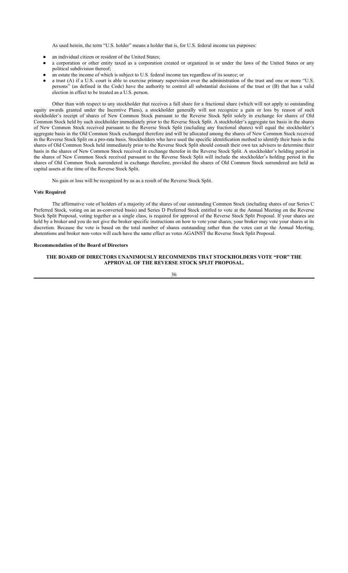As used herein, the term "U.S. holder" means a holder that is, for U.S. federal income tax purposes:

- an individual citizen or resident of the United States;
- a corporation or other entity taxed as a corporation created or organized in or under the laws of the United States or any political subdivision thereof;
- an estate the income of which is subject to U.S. federal income tax regardless of its source; or
- a trust (A) if a U.S. court is able to exercise primary supervision over the administration of the trust and one or more "U.S. persons" (as defined in the Code) have the authority to control all substantial decisions of the trust or (B) that has a valid election in effect to be treated as a U.S. person.

Other than with respect to any stockholder that receives a full share for a fractional share (which will not apply to outstanding equity awards granted under the Incentive Plans), a stockholder generally will not recognize a gain or loss by reason of such stockholder's receipt of shares of New Common Stock pursuant to the Reverse Stock Split solely in exchange for shares of Old Common Stock held by such stockholder immediately prior to the Reverse Stock Split. A stockholder's aggregate tax basis in the shares of New Common Stock received pursuant to the Reverse Stock Split (including any fractional shares) will equal the stockholder's aggregate basis in the Old Common Stock exchanged therefore and will be allocated among the shares of New Common Stock received in the Reverse Stock Split on a pro-rata basis. Stockholders who have used the specific identification method to identify their basis in the shares of Old Common Stock held immediately prior to the Reverse Stock Split should consult their own tax advisers to determine their basis in the shares of New Common Stock received in exchange therefor in the Reverse Stock Split. A stockholder's holding period in the shares of New Common Stock received pursuant to the Reverse Stock Split will include the stockholder's holding period in the shares of Old Common Stock surrendered in exchange therefore, provided the shares of Old Common Stock surrendered are held as capital assets at the time of the Reverse Stock Split.

No gain or loss will be recognized by us as a result of the Reverse Stock Split.

#### **Vote Required**

The affirmative vote of holders of a majority of the shares of our outstanding Common Stock (including shares of our Series C Preferred Stock, voting on an as-converted basis) and Series D Preferred Stock entitled to vote at the Annual Meeting on the Reverse Stock Split Proposal, voting together as a single class, is required for approval of the Reverse Stock Split Proposal. If your shares are held by a broker and you do not give the broker specific instructions on how to vote your shares, your broker may vote your shares at its discretion. Because the vote is based on the total number of shares outstanding rather than the votes cast at the Annual Meeting, abstentions and broker non-votes will each have the same effect as votes AGAINST the Reverse Stock Split Proposal.

## **Recommendation of the Board of Directors**

#### **THE BOARD OF DIRECTORS UNANIMOUSLY RECOMMENDS THAT STOCKHOLDERS VOTE "FOR" THE APPROVAL OF THE REVERSE STOCK SPLIT PROPOSAL.**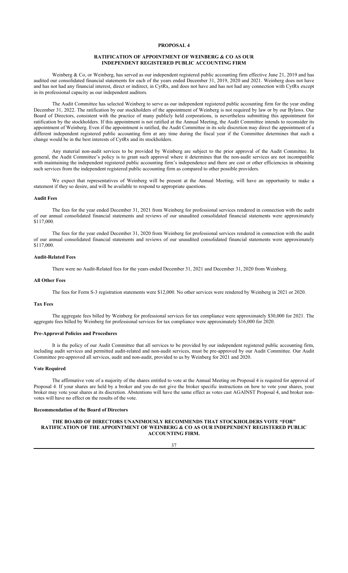#### **RATIFICATION OF APPOINTMENT OF WEINBERG & CO AS OUR INDEPENDENT REGISTERED PUBLIC ACCOUNTING FIRM**

Weinberg & Co, or Weinberg, has served as our independent registered public accounting firm effective June 21, 2019 and has audited our consolidated financial statements for each of the years ended December 31, 2019, 2020 and 2021. Weinberg does not have and has not had any financial interest, direct or indirect, in CytRx, and does not have and has not had any connection with CytRx except in its professional capacity as our independent auditors.

The Audit Committee has selected Weinberg to serve as our independent registered public accounting firm for the year ending December 31, 2022. The ratification by our stockholders of the appointment of Weinberg is not required by law or by our Bylaws. Our Board of Directors, consistent with the practice of many publicly held corporations, is nevertheless submitting this appointment for ratification by the stockholders. If this appointment is not ratified at the Annual Meeting, the Audit Committee intends to reconsider its appointment of Weinberg. Even if the appointment is ratified, the Audit Committee in its sole discretion may direct the appointment of a different independent registered public accounting firm at any time during the fiscal year if the Committee determines that such a change would be in the best interests of CytRx and its stockholders.

Any material non-audit services to be provided by Weinberg are subject to the prior approval of the Audit Committee. In general, the Audit Committee's policy is to grant such approval where it determines that the non-audit services are not incompatible with maintaining the independent registered public accounting firm's independence and there are cost or other efficiencies in obtaining such services from the independent registered public accounting firm as compared to other possible providers.

We expect that representatives of Weinberg will be present at the Annual Meeting, will have an opportunity to make a statement if they so desire, and will be available to respond to appropriate questions.

#### **Audit Fees**

The fees for the year ended December 31, 2021 from Weinberg for professional services rendered in connection with the audit of our annual consolidated financial statements and reviews of our unaudited consolidated financial statements were approximately \$117,000.

The fees for the year ended December 31, 2020 from Weinberg for professional services rendered in connection with the audit of our annual consolidated financial statements and reviews of our unaudited consolidated financial statements were approximately \$117,000.

## **Audit-Related Fees**

There were no Audit-Related fees for the years ended December 31, 2021 and December 31, 2020 from Weinberg.

#### **All Other Fees**

The fees for Form S-3 registration statements were \$12,000. No other services were rendered by Weinberg in 2021 or 2020.

## **Tax Fees**

The aggregate fees billed by Weinberg for professional services for tax compliance were approximately \$30,000 for 2021. The aggregate fees billed by Weinberg for professional services for tax compliance were approximately \$16,000 for 2020.

#### **Pre-Approval Policies and Procedures**

It is the policy of our Audit Committee that all services to be provided by our independent registered public accounting firm, including audit services and permitted audit-related and non-audit services, must be pre-approved by our Audit Committee. Our Audit Committee pre-approved all services, audit and non-audit, provided to us by Weinberg for 2021 and 2020.

#### **Vote Required**

The affirmative vote of a majority of the shares entitled to vote at the Annual Meeting on Proposal 4 is required for approval of Proposal 4. If your shares are held by a broker and you do not give the broker specific instructions on how to vote your shares, your broker may vote your shares at its discretion. Abstentions will have the same effect as votes cast AGAINST Proposal 4, and broker nonvotes will have no effect on the results of the vote.

#### **Recommendation of the Board of Directors**

#### **THE BOARD OF DIRECTORS UNANIMOUSLY RECOMMENDS THAT STOCKHOLDERS VOTE "FOR" RATIFICATION OF THE APPOINTMENT OF WEINBERG & CO AS OUR INDEPENDENT REGISTERED PUBLIC ACCOUNTING FIRM.**

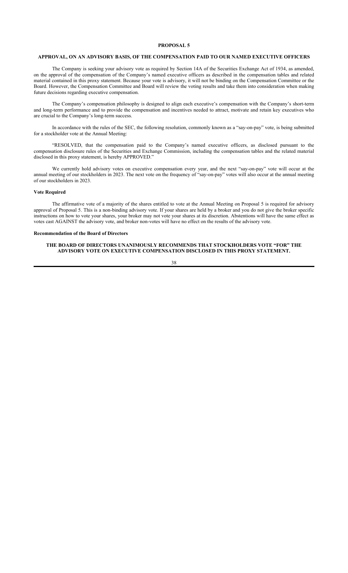#### **APPROVAL, ON AN ADVISORY BASIS, OF THE COMPENSATION PAID TO OUR NAMED EXECUTIVE OFFICERS**

The Company is seeking your advisory vote as required by Section 14A of the Securities Exchange Act of 1934, as amended, on the approval of the compensation of the Company's named executive officers as described in the compensation tables and related material contained in this proxy statement. Because your vote is advisory, it will not be binding on the Compensation Committee or the Board. However, the Compensation Committee and Board will review the voting results and take them into consideration when making future decisions regarding executive compensation.

The Company's compensation philosophy is designed to align each executive's compensation with the Company's short-term and long-term performance and to provide the compensation and incentives needed to attract, motivate and retain key executives who are crucial to the Company's long-term success.

In accordance with the rules of the SEC, the following resolution, commonly known as a "say-on-pay" vote, is being submitted for a stockholder vote at the Annual Meeting:

"RESOLVED, that the compensation paid to the Company's named executive officers, as disclosed pursuant to the compensation disclosure rules of the Securities and Exchange Commission, including the compensation tables and the related material disclosed in this proxy statement, is hereby APPROVED."

We currently hold advisory votes on executive compensation every year, and the next "say-on-pay" vote will occur at the annual meeting of our stockholders in 2023. The next vote on the frequency of "say-on-pay" votes will also occur at the annual meeting of our stockholders in 2023.

#### **Vote Required**

The affirmative vote of a majority of the shares entitled to vote at the Annual Meeting on Proposal 5 is required for advisory approval of Proposal 5. This is a non-binding advisory vote. If your shares are held by a broker and you do not give the broker specific instructions on how to vote your shares, your broker may not vote your shares at its discretion. Abstentions will have the same effect as votes cast AGAINST the advisory vote, and broker non-votes will have no effect on the results of the advisory vote.

## **Recommendation of the Board of Directors**

## **THE BOARD OF DIRECTORS UNANIMOUSLY RECOMMENDS THAT STOCKHOLDERS VOTE "FOR" THE ADVISORY VOTE ON EXECUTIVE COMPENSATION DISCLOSED IN THIS PROXY STATEMENT.**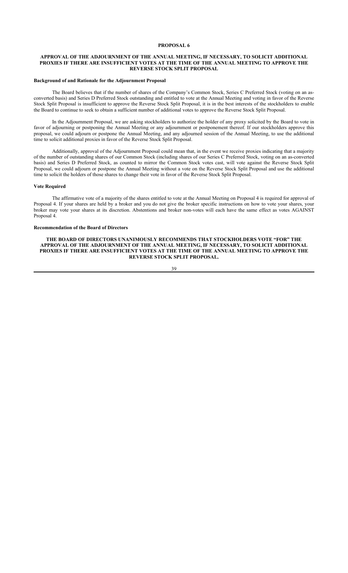#### **APPROVAL OF THE ADJOURNMENT OF THE ANNUAL MEETING, IF NECESSARY, TO SOLICIT ADDITIONAL PROXIES IF THERE ARE INSUFFICIENT VOTES AT THE TIME OF THE ANNUAL MEETING TO APPROVE THE REVERSE STOCK SPLIT PROPOSAL**

#### **Background of and Rationale for the Adjournment Proposal**

The Board believes that if the number of shares of the Company's Common Stock, Series C Preferred Stock (voting on an asconverted basis) and Series D Preferred Stock outstanding and entitled to vote at the Annual Meeting and voting in favor of the Reverse Stock Split Proposal is insufficient to approve the Reverse Stock Split Proposal, it is in the best interests of the stockholders to enable the Board to continue to seek to obtain a sufficient number of additional votes to approve the Reverse Stock Split Proposal.

In the Adjournment Proposal, we are asking stockholders to authorize the holder of any proxy solicited by the Board to vote in favor of adjourning or postponing the Annual Meeting or any adjournment or postponement thereof. If our stockholders approve this proposal, we could adjourn or postpone the Annual Meeting, and any adjourned session of the Annual Meeting, to use the additional time to solicit additional proxies in favor of the Reverse Stock Split Proposal.

Additionally, approval of the Adjournment Proposal could mean that, in the event we receive proxies indicating that a majority of the number of outstanding shares of our Common Stock (including shares of our Series C Preferred Stock, voting on an as-converted basis) and Series D Preferred Stock, as counted to mirror the Common Stock votes cast, will vote against the Reverse Stock Split Proposal, we could adjourn or postpone the Annual Meeting without a vote on the Reverse Stock Split Proposal and use the additional time to solicit the holders of those shares to change their vote in favor of the Reverse Stock Split Proposal.

#### **Vote Required**

The affirmative vote of a majority of the shares entitled to vote at the Annual Meeting on Proposal 4 is required for approval of Proposal 4. If your shares are held by a broker and you do not give the broker specific instructions on how to vote your shares, your broker may vote your shares at its discretion. Abstentions and broker non-votes will each have the same effect as votes AGAINST Proposal 4.

## **Recommendation of the Board of Directors**

**THE BOARD OF DIRECTORS UNANIMOUSLY RECOMMENDS THAT STOCKHOLDERS VOTE "FOR" THE APPROVAL OF THE ADJOURNMENT OF THE ANNUAL MEETING, IF NECESSARY, TO SOLICIT ADDITIONAL PROXIES IF THERE ARE INSUFFICIENT VOTES AT THE TIME OF THE ANNUAL MEETING TO APPROVE THE REVERSE STOCK SPLIT PROPOSAL.**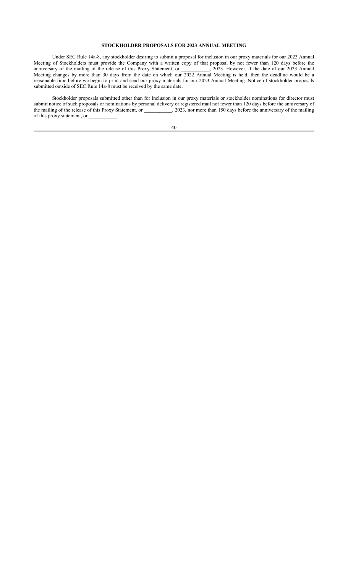## **STOCKHOLDER PROPOSALS FOR 2023 ANNUAL MEETING**

Under SEC Rule 14a-8, any stockholder desiring to submit a proposal for inclusion in our proxy materials for our 2023 Annual Meeting of Stockholders must provide the Company with a written copy of that proposal by not fewer than 120 days before the anniversary of the mailing of the release of this Proxy Statement, or  $2023$ . However, if the date of our 2023 Annual Meeting changes by more than 30 days from the date on which our 2022 Annual Meeting is held, then the deadline would be a reasonable time before we begin to print and send our proxy materials for our 2023 Annual Meeting. Notice of stockholder proposals submitted outside of SEC Rule  $14a-8$  must be received by the same date.

Stockholder proposals submitted other than for inclusion in our proxy materials or stockholder nominations for director must submit notice of such proposals or nominations by personal delivery or registered mail not fewer than 120 days before the anniversary of the mailing of the release of this Proxy Statement, or  $\qquad \qquad$ , 2023, nor more than 150 days before the anniversary of the mailing of this proxy statement, or  $\_\_$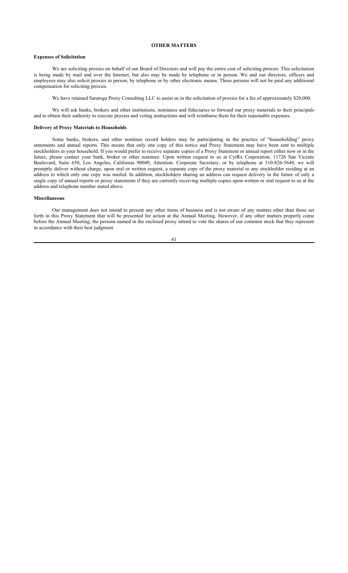#### **OTHER MATTERS**

## **Expenses of Solicitation**

We are soliciting proxies on behalf of our Board of Directors and will pay the entire cost of soliciting proxies. This solicitation is being made by mail and over the Internet, but also may be made by telephone or in person. We and our directors, officers and employees may also solicit proxies in person, by telephone or by other electronic means. These persons will not be paid any additional compensation for soliciting proxies.

We have retained Saratoga Proxy Consulting LLC to assist us in the solicitation of proxies for a fee of approximately \$20,000.

We will ask banks, brokers and other institutions, nominees and fiduciaries to forward our proxy materials to their principals and to obtain their authority to execute proxies and voting instructions and will reimburse them for their reasonable expenses.

#### **Delivery of Proxy Materials to Households**

Some banks, brokers, and other nominee record holders may be participating in the practice of "householding" proxy statements and annual reports. This means that only one copy of this notice and Proxy Statement may have been sent to multiple stockholders in your household. If you would prefer to receive separate copies of a Proxy Statement or annual report either now or in the future, please contact your bank, broker or other nominee. Upon written request to us at CytRx Corporation, 11726 San Vicente Boulevard, Suite 650, Los Angeles, California 90049, Attention: Corporate Secretary, or by telephone at 310-826-5648, we will promptly deliver without charge, upon oral or written request, a separate copy of the proxy material to any stockholder residing at an address to which only one copy was mailed. In addition, stockholders sharing an address can request delivery in the future of only a single copy of annual reports or proxy statements if they are currently receiving multiple copies upon written or oral request to us at the address and telephone number stated above.

#### **Miscellaneous**

Our management does not intend to present any other items of business and is not aware of any matters other than those set forth in this Proxy Statement that will be presented for action at the Annual Meeting. However, if any other matters properly come before the Annual Meeting, the persons named in the enclosed proxy intend to vote the shares of our common stock that they represent in accordance with their best judgment.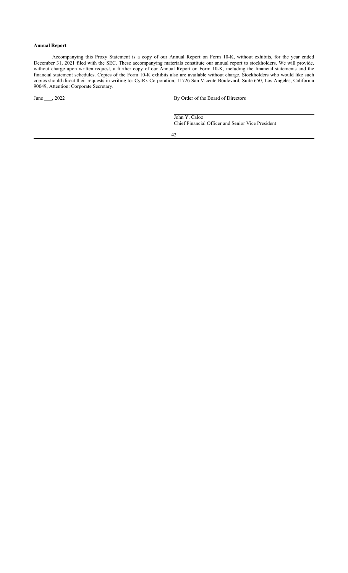## **Annual Report**

Accompanying this Proxy Statement is a copy of our Annual Report on Form 10-K, without exhibits, for the year ended December 31, 2021 filed with the SEC. These accompanying materials constitute our annual report to stockholders. We will provide, without charge upon written request, a further copy of our Annual Report on Form 10-K, including the financial statements and the financial statement schedules. Copies of the Form 10-K exhibits also are available without charge. Stockholders who would like such copies should direct their requests in writing to: CytRx Corporation, 11726 San Vicente Boulevard, Suite 650, Los Angeles, California 90049, Attention: Corporate Secretary.

June \_\_\_, 2022 By Order of the Board of Directors

John Y. Caloz Chief Financial Officer and Senior Vice President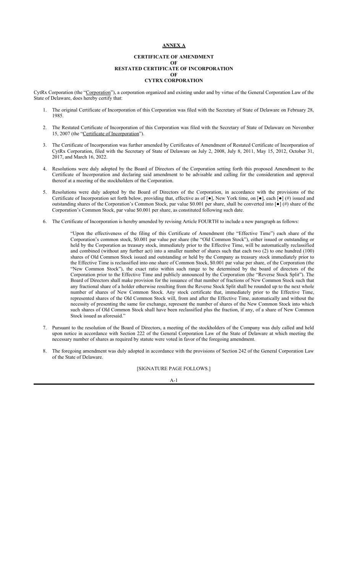## **ANNEX A**

#### **CERTIFICATE OF AMENDMENT OF RESTATED CERTIFICATE OF INCORPORATION OF CYTRX CORPORATION**

CytRx Corporation (the "Corporation"), a corporation organized and existing under and by virtue of the General Corporation Law of the State of Delaware, does hereby certify that:

- 1. The original Certificate of Incorporation of this Corporation was filed with the Secretary of State of Delaware on February 28, 1985.
- 2. The Restated Certificate of Incorporation of this Corporation was filed with the Secretary of State of Delaware on November 15, 2007 (the "Certificate of Incorporation").
- 3. The Certificate of Incorporation was further amended by Certificates of Amendment of Restated Certificate of Incorporation of CytRx Corporation, filed with the Secretary of State of Delaware on July 2, 2008, July 8, 2011, May 15, 2012, October 31, 2017, and March 16, 2022.
- 4. Resolutions were duly adopted by the Board of Directors of the Corporation setting forth this proposed Amendment to the Certificate of Incorporation and declaring said amendment to be advisable and calling for the consideration and approval thereof at a meeting of the stockholders of the Corporation.
- 5. Resolutions were duly adopted by the Board of Directors of the Corporation, in accordance with the provisions of the Certificate of Incorporation set forth below, providing that, effective as of [●], New York time, on [●], each [●] (#) issued and outstanding shares of the Corporation's Common Stock, par value \$0.001 per share, shall be converted into [●] (#) share of the Corporation's Common Stock, par value \$0.001 per share, as constituted following such date.
- 6. The Certificate of Incorporation is hereby amended by revising Article FOURTH to include a new paragraph as follows:

"Upon the effectiveness of the filing of this Certificate of Amendment (the "Effective Time") each share of the Corporation's common stock, \$0.001 par value per share (the "Old Common Stock"), either issued or outstanding or held by the Corporation as treasury stock, immediately prior to the Effective Time, will be automatically reclassified and combined (without any further act) into a smaller number of shares such that each two (2) to one hundred (100) shares of Old Common Stock issued and outstanding or held by the Company as treasury stock immediately prior to the Effective Time is reclassified into one share of Common Stock, \$0.001 par value per share, of the Corporation (the "New Common Stock"), the exact ratio within such range to be determined by the board of directors of the Corporation prior to the Effective Time and publicly announced by the Corporation (the "Reverse Stock Split"). The Board of Directors shall make provision for the issuance of that number of fractions of New Common Stock such that any fractional share of a holder otherwise resulting from the Reverse Stock Split shall be rounded up to the next whole number of shares of New Common Stock. Any stock certificate that, immediately prior to the Effective Time, represented shares of the Old Common Stock will, from and after the Effective Time, automatically and without the necessity of presenting the same for exchange, represent the number of shares of the New Common Stock into which such shares of Old Common Stock shall have been reclassified plus the fraction, if any, of a share of New Common Stock issued as aforesaid."

- 7. Pursuant to the resolution of the Board of Directors, a meeting of the stockholders of the Company was duly called and held upon notice in accordance with Section 222 of the General Corporation Law of the State of Delaware at which meeting the necessary number of shares as required by statute were voted in favor of the foregoing amendment.
- 8. The foregoing amendment was duly adopted in accordance with the provisions of Section 242 of the General Corporation Law of the State of Delaware.

## [SIGNATURE PAGE FOLLOWS.]

A-1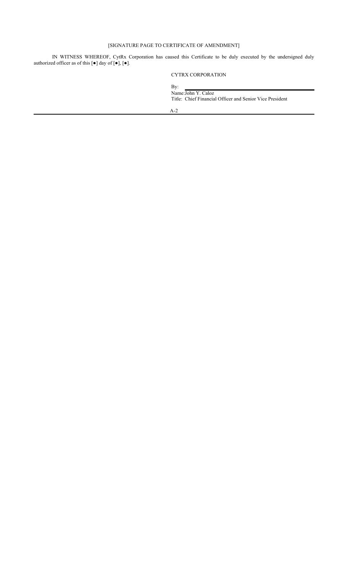## [SIGNATURE PAGE TO CERTIFICATE OF AMENDMENT]

IN WITNESS WHEREOF, CytRx Corporation has caused this Certificate to be duly executed by the undersigned duly authorized officer as of this  $[\bullet]$  day of  $[\bullet]$ ,  $[\bullet]$ .

## CYTRX CORPORATION

By: Name:John Y. Caloz Title: Chief Financial Officer and Senior Vice President A-2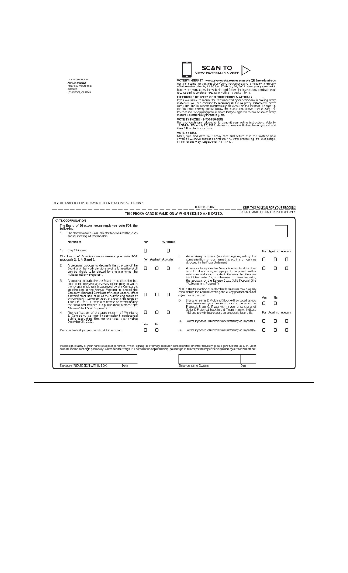CYTRX CORPORATION<br>ATTN: JOHN CALOZ<br>11726 SAN VICENTE BLVD.<br>SUITE 650<br>LOS ANGELES, CA 90049



VOTE BY INTERNET - www.proxyvote.com or scan the QR Barcode above<br>Use the Internet to transmit your voting instructions and for electronic delivery<br>of information. Vote by 11:59 PM. ET on July 26, 2022. Have your proxy car

hand when you access the web site and follow the instructions to obtain your<br>records and to create an electronic voting instruction form.<br>ELECTRONC DELIVERY OF FUTURE PROXY MATERIALS<br>If you would like to reduce the costs i

TO VOTE, MARK BLOCKS BELOW IN BLUE OR BLACK INK AS FOLLOWS: والموارد والمسترد والمستور والمستور المستور والمستور والمستور والمنا

والمسام

# THIS PROXY CARD IS VALID ONLY WHEN SIGNED AND DATED.<br>THIS PROXY CARD IS VALID ONLY WHEN SIGNED AND DATED. THIS PORTAGH AND RETURN THIS PORTION ONLY

| 1   | The Board of Directors recommends you vote FOR the<br>following:                                                                                                                                                |     |                     |          |                                                                                                                           |                                                                                                                                                                                                                                                  |            |    |                     |
|-----|-----------------------------------------------------------------------------------------------------------------------------------------------------------------------------------------------------------------|-----|---------------------|----------|---------------------------------------------------------------------------------------------------------------------------|--------------------------------------------------------------------------------------------------------------------------------------------------------------------------------------------------------------------------------------------------|------------|----|---------------------|
|     | The election of one Class I director to serve until the 2025<br>annual meeting of stockholders.                                                                                                                 |     |                     |          |                                                                                                                           |                                                                                                                                                                                                                                                  |            |    |                     |
|     | Nominee:                                                                                                                                                                                                        | For |                     | Withhold |                                                                                                                           |                                                                                                                                                                                                                                                  |            |    |                     |
| 1a. | Cary Claiborne                                                                                                                                                                                                  | Ω   |                     | Π        |                                                                                                                           |                                                                                                                                                                                                                                                  |            |    | For Against Abstain |
|     | The Board of Directors recommends you vote FOR<br>proposals 2, 3, 4, 5 and 6.                                                                                                                                   |     | For Against Abstain |          | 5.                                                                                                                        | An advisory proposal (non-binding) regarding the<br>compensation of our named executive officers as<br>disclosed in the Proxy Statement.                                                                                                         | п          |    |                     |
| 2.  | A precatory proposal to declassify the structure of the<br>Board such that each director standing for election shall<br>only be eligible to be elected for one-year terms (the<br>*Declassification Proposal*). | Π   | 0                   |          | 6.                                                                                                                        | A proposal to adjourn the Annual Meeting to a later date<br>or dates, if necessary or appropriate, to permit further<br>solicitation and vote of proxies in the event that there are<br>insufficient votes for, or otherwise in connection with, | п          | Π  | Π                   |
| 3.  | A proposal to authorize the Board, in its discretion but<br>prior to the one-year anniversary of the date on which                                                                                              |     |                     |          |                                                                                                                           | the approval of the Reverse Stock Split Proposal (the<br>"Adjournment Proposal").                                                                                                                                                                |            |    |                     |
|     | the reverse stock split is approved by the Company's<br>stockholders at the Annual Meeting, to amend the<br>Company's Restated Certificate of Incorporation to effect                                           |     |                     |          | NOTE: The transaction of such other business as may properly<br>come before the Annual Meeting and at any postponement or |                                                                                                                                                                                                                                                  |            |    |                     |
|     | a reverse stock split of all of the outstanding shares of<br>the Company's Common Stock, at a ratio in the range of                                                                                             | n   | [ ]                 | п        |                                                                                                                           | adjournment thereof.                                                                                                                                                                                                                             | <b>Yes</b> | No |                     |
|     | 1-for-2 to 1-for-100, with such ratio to be determined by<br>the Board and included in a public announcement (the<br>*Reverse Stock Split Proposal").                                                           |     |                     |          |                                                                                                                           | Shares of Series D Preferred Stock will be voted as you<br>have instructed your common stock to be voted on<br>Proposals 3 and 6. If you wish to vote these shares of<br>Series D Preferred Stock in a different manner, indicate                | П          | Ο  |                     |
| 4.  | The ratification of the appointment of Weinberg<br>& Company as our independent registered                                                                                                                      | Π   | Π                   | Π        |                                                                                                                           | YES and provide instructions on proposals 3a and 6a.                                                                                                                                                                                             |            |    | For Against Abstain |
|     | public accounting firm for the fiscal year ending<br>December 31, 2022.                                                                                                                                         | Yes | No                  |          | 3a.                                                                                                                       | To vote my Series D Preferred Stock differently on Proposal 3.                                                                                                                                                                                   |            |    | Π                   |
|     | Please indicate if you plan to attend this meeting                                                                                                                                                              | Ω   | Π                   |          | <b>ба.</b>                                                                                                                | To vote my Series D Preferred Stock differently on Proposal 6.                                                                                                                                                                                   | n          | Ω  | Π                   |